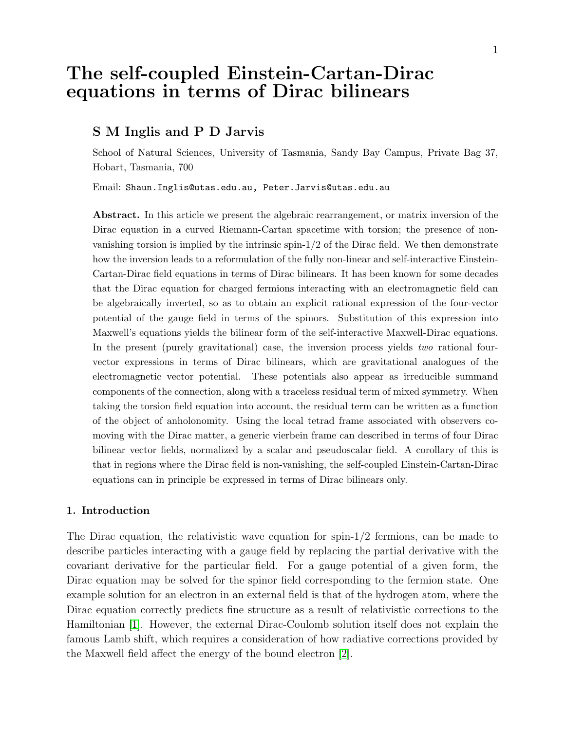# The self-coupled Einstein-Cartan-Dirac equations in terms of Dirac bilinears

# S M Inglis and P D Jarvis

School of Natural Sciences, University of Tasmania, Sandy Bay Campus, Private Bag 37, Hobart, Tasmania, 700

Email: Shaun.Inglis@utas.edu.au, Peter.Jarvis@utas.edu.au

Abstract. In this article we present the algebraic rearrangement, or matrix inversion of the Dirac equation in a curved Riemann-Cartan spacetime with torsion; the presence of nonvanishing torsion is implied by the intrinsic spin-1/2 of the Dirac field. We then demonstrate how the inversion leads to a reformulation of the fully non-linear and self-interactive Einstein-Cartan-Dirac field equations in terms of Dirac bilinears. It has been known for some decades that the Dirac equation for charged fermions interacting with an electromagnetic field can be algebraically inverted, so as to obtain an explicit rational expression of the four-vector potential of the gauge field in terms of the spinors. Substitution of this expression into Maxwell's equations yields the bilinear form of the self-interactive Maxwell-Dirac equations. In the present (purely gravitational) case, the inversion process yields two rational fourvector expressions in terms of Dirac bilinears, which are gravitational analogues of the electromagnetic vector potential. These potentials also appear as irreducible summand components of the connection, along with a traceless residual term of mixed symmetry. When taking the torsion field equation into account, the residual term can be written as a function of the object of anholonomity. Using the local tetrad frame associated with observers comoving with the Dirac matter, a generic vierbein frame can described in terms of four Dirac bilinear vector fields, normalized by a scalar and pseudoscalar field. A corollary of this is that in regions where the Dirac field is non-vanishing, the self-coupled Einstein-Cartan-Dirac equations can in principle be expressed in terms of Dirac bilinears only.

# 1. Introduction

The Dirac equation, the relativistic wave equation for spin-1/2 fermions, can be made to describe particles interacting with a gauge field by replacing the partial derivative with the covariant derivative for the particular field. For a gauge potential of a given form, the Dirac equation may be solved for the spinor field corresponding to the fermion state. One example solution for an electron in an external field is that of the hydrogen atom, where the Dirac equation correctly predicts fine structure as a result of relativistic corrections to the Hamiltonian [\[1\]](#page-17-0). However, the external Dirac-Coulomb solution itself does not explain the famous Lamb shift, which requires a consideration of how radiative corrections provided by the Maxwell field affect the energy of the bound electron [\[2\]](#page-17-1).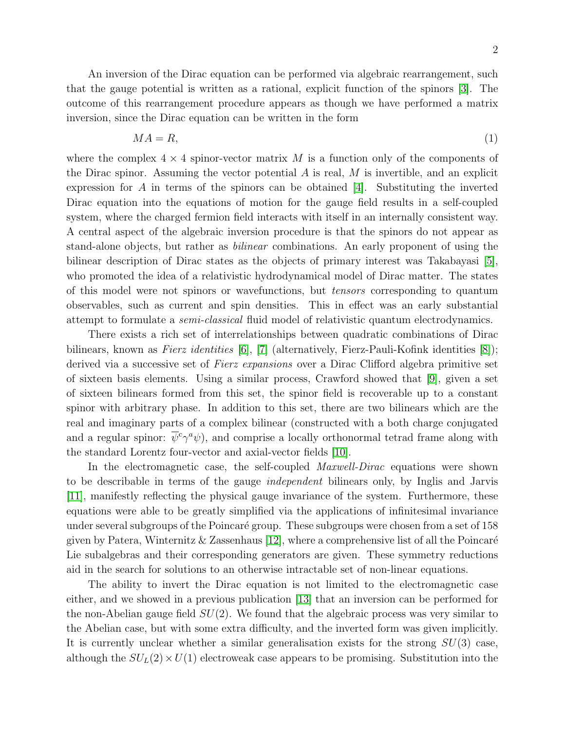An inversion of the Dirac equation can be performed via algebraic rearrangement, such that the gauge potential is written as a rational, explicit function of the spinors [\[3\]](#page-17-2). The outcome of this rearrangement procedure appears as though we have performed a matrix inversion, since the Dirac equation can be written in the form

<span id="page-1-0"></span>
$$
MA = R,\tag{1}
$$

where the complex  $4 \times 4$  spinor-vector matrix M is a function only of the components of the Dirac spinor. Assuming the vector potential  $A$  is real,  $M$  is invertible, and an explicit expression for A in terms of the spinors can be obtained [\[4\]](#page-17-3). Substituting the inverted Dirac equation into the equations of motion for the gauge field results in a self-coupled system, where the charged fermion field interacts with itself in an internally consistent way. A central aspect of the algebraic inversion procedure is that the spinors do not appear as stand-alone objects, but rather as bilinear combinations. An early proponent of using the bilinear description of Dirac states as the objects of primary interest was Takabayasi [\[5\]](#page-17-4), who promoted the idea of a relativistic hydrodynamical model of Dirac matter. The states of this model were not spinors or wavefunctions, but tensors corresponding to quantum observables, such as current and spin densities. This in effect was an early substantial attempt to formulate a semi-classical fluid model of relativistic quantum electrodynamics.

There exists a rich set of interrelationships between quadratic combinations of Dirac bilinears, known as *Fierz identities* [\[6\]](#page-17-5), [\[7\]](#page-17-6) (alternatively, Fierz-Pauli-Kofink identities [\[8\]](#page-17-7)); derived via a successive set of *Fierz expansions* over a Dirac Clifford algebra primitive set of sixteen basis elements. Using a similar process, Crawford showed that [\[9\]](#page-17-8), given a set of sixteen bilinears formed from this set, the spinor field is recoverable up to a constant spinor with arbitrary phase. In addition to this set, there are two bilinears which are the real and imaginary parts of a complex bilinear (constructed with a both charge conjugated and a regular spinor:  $\overline{\psi}^c \gamma^a \psi$ , and comprise a locally orthonormal tetrad frame along with the standard Lorentz four-vector and axial-vector fields [\[10\]](#page-17-9).

In the electromagnetic case, the self-coupled *Maxwell-Dirac* equations were shown to be describable in terms of the gauge independent bilinears only, by Inglis and Jarvis [\[11\]](#page-17-10), manifestly reflecting the physical gauge invariance of the system. Furthermore, these equations were able to be greatly simplified via the applications of infinitesimal invariance under several subgroups of the Poincaré group. These subgroups were chosen from a set of 158 given by Patera, Winternitz & Zassenhaus [\[12\]](#page-17-11), where a comprehensive list of all the Poincaré Lie subalgebras and their corresponding generators are given. These symmetry reductions aid in the search for solutions to an otherwise intractable set of non-linear equations.

The ability to invert the Dirac equation is not limited to the electromagnetic case either, and we showed in a previous publication [\[13\]](#page-17-12) that an inversion can be performed for the non-Abelian gauge field  $SU(2)$ . We found that the algebraic process was very similar to the Abelian case, but with some extra difficulty, and the inverted form was given implicitly. It is currently unclear whether a similar generalisation exists for the strong  $SU(3)$  case, although the  $SU_L(2) \times U(1)$  electroweak case appears to be promising. Substitution into the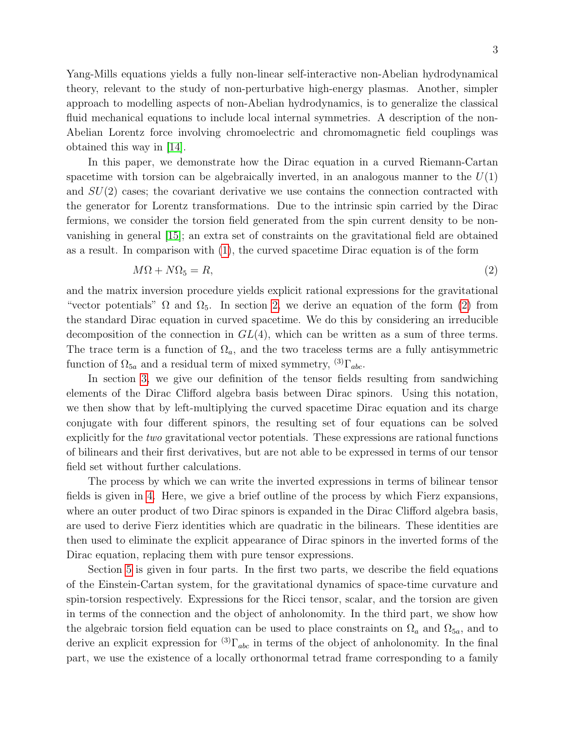Yang-Mills equations yields a fully non-linear self-interactive non-Abelian hydrodynamical theory, relevant to the study of non-perturbative high-energy plasmas. Another, simpler approach to modelling aspects of non-Abelian hydrodynamics, is to generalize the classical fluid mechanical equations to include local internal symmetries. A description of the non-Abelian Lorentz force involving chromoelectric and chromomagnetic field couplings was obtained this way in [\[14\]](#page-19-0).

In this paper, we demonstrate how the Dirac equation in a curved Riemann-Cartan spacetime with torsion can be algebraically inverted, in an analogous manner to the  $U(1)$ and  $SU(2)$  cases; the covariant derivative we use contains the connection contracted with the generator for Lorentz transformations. Due to the intrinsic spin carried by the Dirac fermions, we consider the torsion field generated from the spin current density to be nonvanishing in general [\[15\]](#page-19-1); an extra set of constraints on the gravitational field are obtained as a result. In comparison with [\(1\)](#page-1-0), the curved spacetime Dirac equation is of the form

<span id="page-2-0"></span>
$$
M\Omega + N\Omega_5 = R,\tag{2}
$$

and the matrix inversion procedure yields explicit rational expressions for the gravitational "vector potentials"  $\Omega$  and  $\Omega_5$ . In section [2,](#page-3-0) we derive an equation of the form [\(2\)](#page-2-0) from the standard Dirac equation in curved spacetime. We do this by considering an irreducible decomposition of the connection in  $GL(4)$ , which can be written as a sum of three terms. The trace term is a function of  $\Omega_a$ , and the two traceless terms are a fully antisymmetric function of  $\Omega_{5a}$  and a residual term of mixed symmetry, <sup>(3)</sup>Γ<sub>abc</sub>.

In section [3,](#page-7-0) we give our definition of the tensor fields resulting from sandwiching elements of the Dirac Clifford algebra basis between Dirac spinors. Using this notation, we then show that by left-multiplying the curved spacetime Dirac equation and its charge conjugate with four different spinors, the resulting set of four equations can be solved explicitly for the two gravitational vector potentials. These expressions are rational functions of bilinears and their first derivatives, but are not able to be expressed in terms of our tensor field set without further calculations.

The process by which we can write the inverted expressions in terms of bilinear tensor fields is given in [4.](#page-9-0) Here, we give a brief outline of the process by which Fierz expansions, where an outer product of two Dirac spinors is expanded in the Dirac Clifford algebra basis, are used to derive Fierz identities which are quadratic in the bilinears. These identities are then used to eliminate the explicit appearance of Dirac spinors in the inverted forms of the Dirac equation, replacing them with pure tensor expressions.

Section [5](#page-11-0) is given in four parts. In the first two parts, we describe the field equations of the Einstein-Cartan system, for the gravitational dynamics of space-time curvature and spin-torsion respectively. Expressions for the Ricci tensor, scalar, and the torsion are given in terms of the connection and the object of anholonomity. In the third part, we show how the algebraic torsion field equation can be used to place constraints on  $\Omega_a$  and  $\Omega_{5a}$ , and to derive an explicit expression for <sup>(3)</sup> $\Gamma_{abc}$  in terms of the object of anholonomity. In the final part, we use the existence of a locally orthonormal tetrad frame corresponding to a family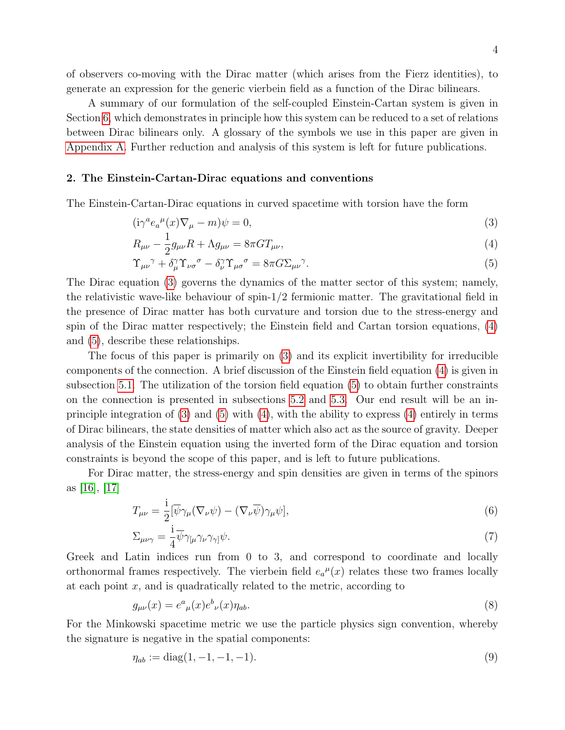of observers co-moving with the Dirac matter (which arises from the Fierz identities), to generate an expression for the generic vierbein field as a function of the Dirac bilinears.

A summary of our formulation of the self-coupled Einstein-Cartan system is given in Section [6,](#page-15-0) which demonstrates in principle how this system can be reduced to a set of relations between Dirac bilinears only. A glossary of the symbols we use in this paper are given in [Appendix A.](#page-17-13) Further reduction and analysis of this system is left for future publications.

# <span id="page-3-0"></span>2. The Einstein-Cartan-Dirac equations and conventions

The Einstein-Cartan-Dirac equations in curved spacetime with torsion have the form

<span id="page-3-1"></span>
$$
(\mathrm{i}\gamma^a e_a{}^\mu(x)\nabla_\mu - m)\psi = 0,\tag{3}
$$

$$
R_{\mu\nu} - \frac{1}{2}g_{\mu\nu}R + \Lambda g_{\mu\nu} = 8\pi GT_{\mu\nu},\tag{4}
$$

$$
\Upsilon_{\mu\nu}{}^{\gamma} + \delta^{\gamma}_{\mu} \Upsilon_{\nu\sigma}{}^{\sigma} - \delta^{\gamma}_{\nu} \Upsilon_{\mu\sigma}{}^{\sigma} = 8\pi G \Sigma_{\mu\nu}{}^{\gamma}.
$$
\n<sup>(5)</sup>

The Dirac equation [\(3\)](#page-3-1) governs the dynamics of the matter sector of this system; namely, the relativistic wave-like behaviour of spin-1/2 fermionic matter. The gravitational field in the presence of Dirac matter has both curvature and torsion due to the stress-energy and spin of the Dirac matter respectively; the Einstein field and Cartan torsion equations, [\(4\)](#page-3-1) and [\(5\)](#page-3-1), describe these relationships.

The focus of this paper is primarily on [\(3\)](#page-3-1) and its explicit invertibility for irreducible components of the connection. A brief discussion of the Einstein field equation [\(4\)](#page-3-1) is given in subsection [5.1.](#page-11-1) The utilization of the torsion field equation [\(5\)](#page-3-1) to obtain further constraints on the connection is presented in subsections [5.2](#page-12-0) and [5.3.](#page-13-0) Our end result will be an inprinciple integration of  $(3)$  and  $(5)$  with  $(4)$ , with the ability to express  $(4)$  entirely in terms of Dirac bilinears, the state densities of matter which also act as the source of gravity. Deeper analysis of the Einstein equation using the inverted form of the Dirac equation and torsion constraints is beyond the scope of this paper, and is left to future publications.

For Dirac matter, the stress-energy and spin densities are given in terms of the spinors as [\[16\]](#page-19-2), [\[17\]](#page-19-3)

$$
T_{\mu\nu} = \frac{i}{2} [\overline{\psi}\gamma_{\mu} (\nabla_{\nu}\psi) - (\nabla_{\nu}\overline{\psi})\gamma_{\mu}\psi],
$$
\n(6)

$$
\Sigma_{\mu\nu\gamma} = \frac{1}{4} \overline{\psi} \gamma_{\mu} \gamma_{\nu} \gamma_{\gamma} \psi. \tag{7}
$$

Greek and Latin indices run from 0 to 3, and correspond to coordinate and locally orthonormal frames respectively. The vierbein field  $e_a^{\mu}(x)$  relates these two frames locally at each point  $x$ , and is quadratically related to the metric, according to

$$
g_{\mu\nu}(x) = e^a{}_{\mu}(x)e^b{}_{\nu}(x)\eta_{ab}.\tag{8}
$$

For the Minkowski spacetime metric we use the particle physics sign convention, whereby the signature is negative in the spatial components:

$$
\eta_{ab} := \text{diag}(1, -1, -1, -1). \tag{9}
$$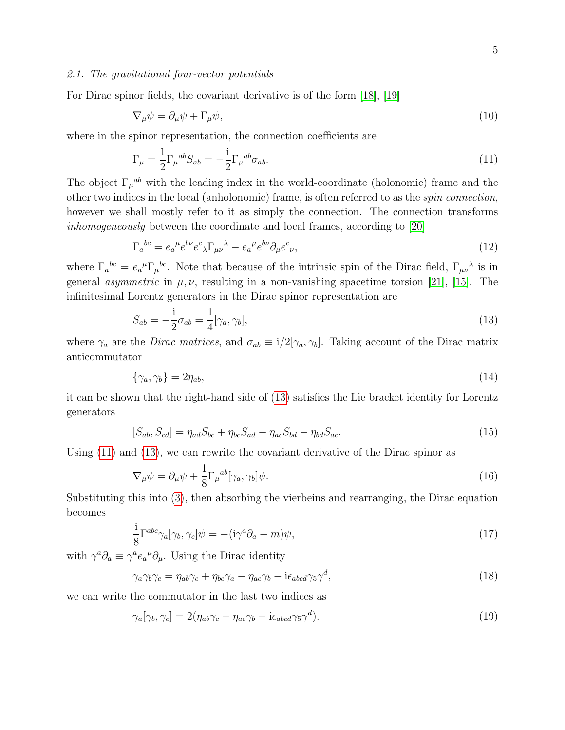#### 2.1. The gravitational four-vector potentials

For Dirac spinor fields, the covariant derivative is of the form [\[18\]](#page-19-4), [\[19\]](#page-19-5)

$$
\nabla_{\mu}\psi = \partial_{\mu}\psi + \Gamma_{\mu}\psi,\tag{10}
$$

where in the spinor representation, the connection coefficients are

<span id="page-4-1"></span>
$$
\Gamma_{\mu} = \frac{1}{2} \Gamma_{\mu}{}^{ab} S_{ab} = -\frac{i}{2} \Gamma_{\mu}{}^{ab} \sigma_{ab}.
$$
\n(11)

The object  $\Gamma_{\mu}{}^{ab}$  with the leading index in the world-coordinate (holonomic) frame and the other two indices in the local (anholonomic) frame, is often referred to as the spin connection, however we shall mostly refer to it as simply the connection. The connection transforms inhomogeneously between the coordinate and local frames, according to [\[20\]](#page-19-6)

<span id="page-4-3"></span>
$$
\Gamma_a{}^b{}^c = e_a{}^\mu e^{b\nu} e^c{}_\lambda \Gamma_{\mu\nu}{}^\lambda - e_a{}^\mu e^{b\nu} \partial_\mu e^c{}_\nu,\tag{12}
$$

where  $\Gamma_a{}^{bc} = e_a{}^{\mu} \Gamma_{\mu}{}^{bc}$ . Note that because of the intrinsic spin of the Dirac field,  $\Gamma_{\mu\nu}{}^{\lambda}$  is in general asymmetric in  $\mu$ ,  $\nu$ , resulting in a non-vanishing spacetime torsion [\[21\]](#page-19-7), [\[15\]](#page-19-1). The infinitesimal Lorentz generators in the Dirac spinor representation are

<span id="page-4-0"></span>
$$
S_{ab} = -\frac{1}{2}\sigma_{ab} = \frac{1}{4}[\gamma_a, \gamma_b],\tag{13}
$$

where  $\gamma_a$  are the *Dirac matrices*, and  $\sigma_{ab} \equiv i/2[\gamma_a, \gamma_b]$ . Taking account of the Dirac matrix anticommutator

$$
\{\gamma_a, \gamma_b\} = 2\eta_{ab},\tag{14}
$$

it can be shown that the right-hand side of [\(13\)](#page-4-0) satisfies the Lie bracket identity for Lorentz generators

$$
[S_{ab}, S_{cd}] = \eta_{ad} S_{bc} + \eta_{bc} S_{ad} - \eta_{ac} S_{bd} - \eta_{bd} S_{ac}.
$$
\n
$$
(15)
$$

Using [\(11\)](#page-4-1) and [\(13\)](#page-4-0), we can rewrite the covariant derivative of the Dirac spinor as

$$
\nabla_{\mu}\psi = \partial_{\mu}\psi + \frac{1}{8}\Gamma_{\mu}^{ab}[\gamma_a, \gamma_b]\psi.
$$
\n(16)

Substituting this into [\(3\)](#page-3-1), then absorbing the vierbeins and rearranging, the Dirac equation becomes

<span id="page-4-2"></span>
$$
\frac{\mathrm{i}}{8} \Gamma^{abc} \gamma_a [\gamma_b, \gamma_c] \psi = -(\mathrm{i} \gamma^a \partial_a - m) \psi,\tag{17}
$$

with  $\gamma^a \partial_a \equiv \gamma^a e_a{}^{\mu} \partial_{\mu}$ . Using the Dirac identity

$$
\gamma_a \gamma_b \gamma_c = \eta_{ab} \gamma_c + \eta_{bc} \gamma_a - \eta_{ac} \gamma_b - i \epsilon_{abcd} \gamma_5 \gamma^d,
$$
\n(18)

we can write the commutator in the last two indices as

$$
\gamma_a[\gamma_b, \gamma_c] = 2(\eta_{ab}\gamma_c - \eta_{ac}\gamma_b - i\epsilon_{abcd}\gamma_5\gamma^d). \tag{19}
$$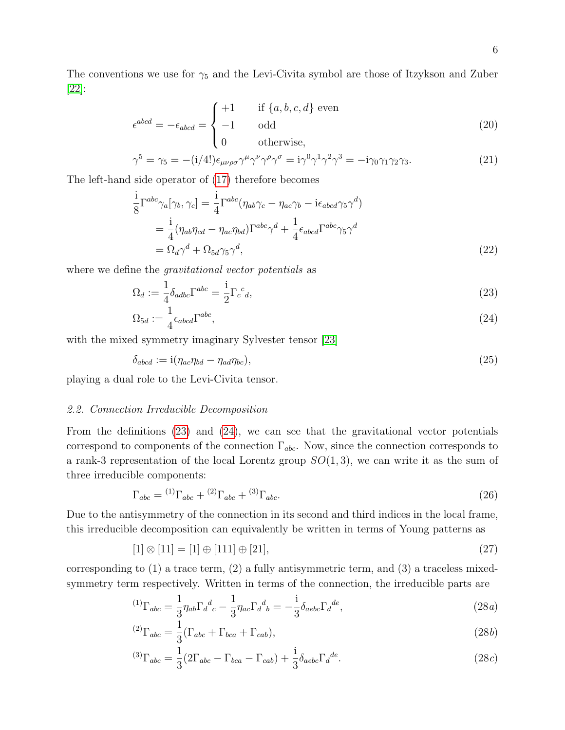The conventions we use for  $\gamma_5$  and the Levi-Civita symbol are those of Itzykson and Zuber [\[22\]](#page-19-8):

$$
\epsilon^{abcd} = -\epsilon_{abcd} = \begin{cases}\n+1 & \text{if } \{a, b, c, d\} \text{ even} \\
-1 & \text{odd} \\
0 & \text{otherwise,} \n\end{cases}
$$
\n(20)

$$
\gamma^5 = \gamma_5 = -\left(\frac{i}{4!}\right)\epsilon_{\mu\nu\rho\sigma}\gamma^\mu\gamma^\nu\gamma^\rho\gamma^\sigma = \frac{i}{\gamma^0}\gamma^1\gamma^2\gamma^3 = -\frac{i}{\gamma_0}\gamma_1\gamma_2\gamma_3. \tag{21}
$$

The left-hand side operator of [\(17\)](#page-4-2) therefore becomes

$$
\frac{\mathrm{i}}{8} \Gamma^{abc} \gamma_a [\gamma_b, \gamma_c] = \frac{\mathrm{i}}{4} \Gamma^{abc} (\eta_{ab} \gamma_c - \eta_{ac} \gamma_b - \mathrm{i} \epsilon_{abcd} \gamma_5 \gamma^d)
$$
\n
$$
= \frac{\mathrm{i}}{4} (\eta_{ab} \eta_{cd} - \eta_{ac} \eta_{bd}) \Gamma^{abc} \gamma^d + \frac{1}{4} \epsilon_{abcd} \Gamma^{abc} \gamma_5 \gamma^d
$$
\n
$$
= \Omega_d \gamma^d + \Omega_{5d} \gamma_5 \gamma^d, \tag{22}
$$

where we define the *gravitational vector potentials* as

<span id="page-5-0"></span>
$$
\Omega_d := \frac{1}{4} \delta_{adbc} \Gamma^{abc} = \frac{1}{2} \Gamma_c^{\ c}{}_d,\tag{23}
$$

$$
\Omega_{5d} := \frac{1}{4} \epsilon_{abcd} \Gamma^{abc},\tag{24}
$$

with the mixed symmetry imaginary Sylvester tensor [\[23\]](#page-19-9)

$$
\delta_{abcd} := \mathrm{i} (\eta_{ac}\eta_{bd} - \eta_{ad}\eta_{bc}),\tag{25}
$$

playing a dual role to the Levi-Civita tensor.

#### 2.2. Connection Irreducible Decomposition

From the definitions [\(23\)](#page-5-0) and [\(24\)](#page-5-0), we can see that the gravitational vector potentials correspond to components of the connection  $\Gamma_{abc}$ . Now, since the connection corresponds to a rank-3 representation of the local Lorentz group  $SO(1,3)$ , we can write it as the sum of three irreducible components:

$$
\Gamma_{abc} = {}^{(1)}\Gamma_{abc} + {}^{(2)}\Gamma_{abc} + {}^{(3)}\Gamma_{abc}.
$$
\n(26)

Due to the antisymmetry of the connection in its second and third indices in the local frame, this irreducible decomposition can equivalently be written in terms of Young patterns as

$$
[1] \otimes [11] = [1] \oplus [111] \oplus [21], \tag{27}
$$

corresponding to  $(1)$  a trace term,  $(2)$  a fully antisymmetric term, and  $(3)$  a traceless mixedsymmetry term respectively. Written in terms of the connection, the irreducible parts are

$$
{}^{(1)}\Gamma_{abc} = \frac{1}{3} \eta_{ab} \Gamma_d{}^d{}_c - \frac{1}{3} \eta_{ac} \Gamma_d{}^d{}_b = -\frac{i}{3} \delta_{aebc} \Gamma_d{}^{de}, \tag{28a}
$$

$$
^{(2)}\Gamma_{abc} = \frac{1}{3} (\Gamma_{abc} + \Gamma_{bca} + \Gamma_{cab}), \qquad (28b)
$$

$$
^{(3)}\Gamma_{abc} = \frac{1}{3} (2\Gamma_{abc} - \Gamma_{bca} - \Gamma_{cab}) + \frac{i}{3} \delta_{aebc} \Gamma_d^{de}.
$$
\n
$$
(28c)
$$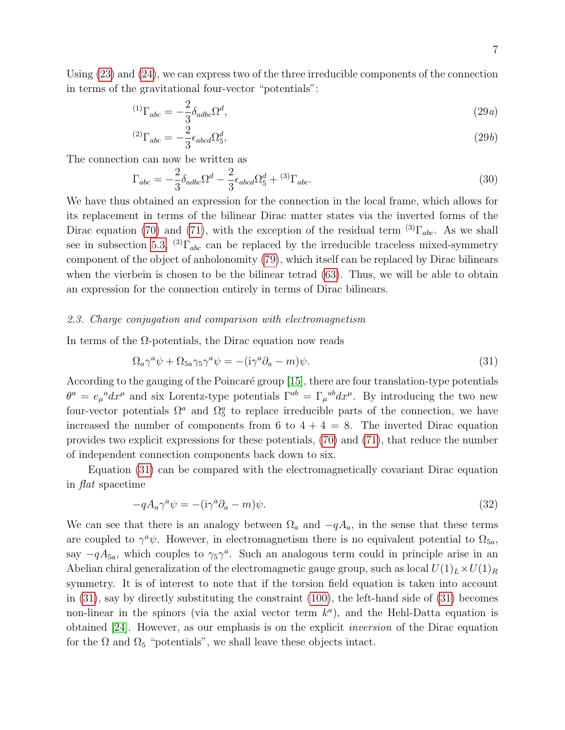Using [\(23\)](#page-5-0) and [\(24\)](#page-5-0), we can express two of the three irreducible components of the connection in terms of the gravitational four-vector "potentials":

$$
^{(1)}\Gamma_{abc} = -\frac{2}{3} \delta_{adbc} \Omega^d, \tag{29a}
$$

$$
^{(2)}\Gamma_{abc} = -\frac{2}{3} \epsilon_{abcd} \Omega_5^d, \tag{29b}
$$

The connection can now be written as

<span id="page-6-1"></span>
$$
\Gamma_{abc} = -\frac{2}{3} \delta_{adbc} \Omega^d - \frac{2}{3} \epsilon_{abcd} \Omega_5^d + {}^{(3)}\Gamma_{abc}.
$$
\n(30)

We have thus obtained an expression for the connection in the local frame, which allows for its replacement in terms of the bilinear Dirac matter states via the inverted forms of the Dirac equation [\(70\)](#page-11-2) and [\(71\)](#page-11-2), with the exception of the residual term <sup>(3)</sup>Γ<sub>abc</sub>. As we shall see in subsection [5.3,](#page-13-0) <sup>(3)</sup>Γ<sub>abc</sub> can be replaced by the irreducible traceless mixed-symmetry component of the object of anholonomity [\(79\)](#page-12-1), which itself can be replaced by Dirac bilinears when the vierbein is chosen to be the bilinear tetrad [\(63\)](#page-10-0). Thus, we will be able to obtain an expression for the connection entirely in terms of Dirac bilinears.

# 2.3. Charge conjugation and comparison with electromagnetism

In terms of the  $\Omega$ -potentials, the Dirac equation now reads

<span id="page-6-0"></span>
$$
\Omega_a \gamma^a \psi + \Omega_{5a} \gamma_5 \gamma^a \psi = -(\mathrm{i}\gamma^a \partial_a - m)\psi. \tag{31}
$$

According to the gauging of the Poincaré group [\[15\]](#page-19-1), there are four translation-type potentials  $\theta^a = e_\mu{}^a dx^\mu$  and six Lorentz-type potentials  $\Gamma^{ab} = \Gamma_\mu{}^{ab} dx^\mu$ . By introducing the two new four-vector potentials  $\Omega^a$  and  $\Omega^a_5$  to replace irreducible parts of the connection, we have increased the number of components from 6 to  $4 + 4 = 8$ . The inverted Dirac equation provides two explicit expressions for these potentials, [\(70\)](#page-11-2) and [\(71\)](#page-11-2), that reduce the number of independent connection components back down to six.

Equation [\(31\)](#page-6-0) can be compared with the electromagnetically covariant Dirac equation in flat spacetime

$$
-qA_a\gamma^a\psi = -(\mathrm{i}\gamma^a\partial_a - m)\psi.
$$
\n(32)

We can see that there is an analogy between  $\Omega_a$  and  $-qA_a$ , in the sense that these terms are coupled to  $\gamma^a \psi$ . However, in electromagnetism there is no equivalent potential to  $\Omega_{5a}$ , say  $-qA_{5a}$ , which couples to  $\gamma_5\gamma^a$ . Such an analogous term could in principle arise in an Abelian chiral generalization of the electromagnetic gauge group, such as local  $U(1)_L \times U(1)_R$ symmetry. It is of interest to note that if the torsion field equation is taken into account in  $(31)$ , say by directly substituting the constraint  $(100)$ , the left-hand side of  $(31)$  becomes non-linear in the spinors (via the axial vector term  $k^a$ ), and the Hehl-Datta equation is obtained [\[24\]](#page-19-10). However, as our emphasis is on the explicit inversion of the Dirac equation for the  $\Omega$  and  $\Omega_5$  "potentials", we shall leave these objects intact.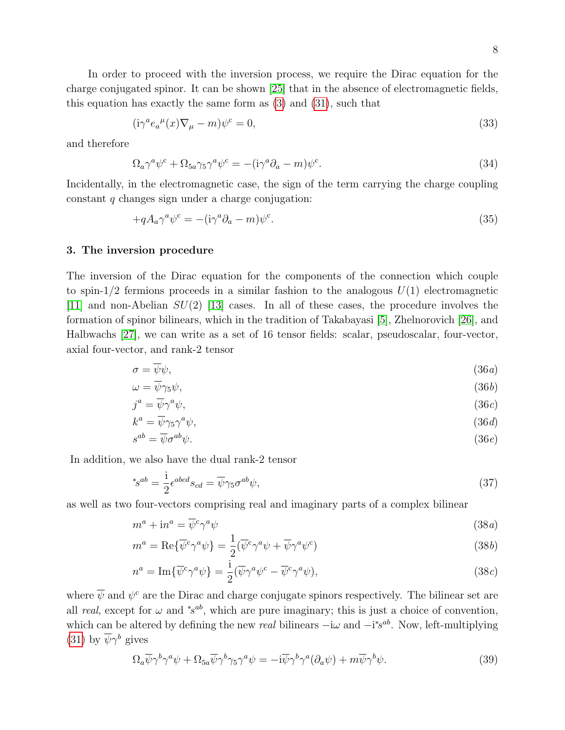In order to proceed with the inversion process, we require the Dirac equation for the charge conjugated spinor. It can be shown [\[25\]](#page-19-11) that in the absence of electromagnetic fields, this equation has exactly the same form as [\(3\)](#page-3-1) and [\(31\)](#page-6-0), such that

$$
(\mathrm{i}\gamma^a e_a{}^\mu(x)\nabla_\mu - m)\psi^c = 0,\tag{33}
$$

and therefore

<span id="page-7-1"></span>
$$
\Omega_a \gamma^a \psi^c + \Omega_{5a} \gamma_5 \gamma^a \psi^c = -(\mathrm{i}\gamma^a \partial_a - m)\psi^c. \tag{34}
$$

Incidentally, in the electromagnetic case, the sign of the term carrying the charge coupling constant q changes sign under a charge conjugation:

$$
+qA_a\gamma^a\psi^c = -(\mathrm{i}\gamma^a\partial_a - m)\psi^c.\tag{35}
$$

# <span id="page-7-0"></span>3. The inversion procedure

The inversion of the Dirac equation for the components of the connection which couple to spin-1/2 fermions proceeds in a similar fashion to the analogous  $U(1)$  electromagnetic [\[11\]](#page-17-10) and non-Abelian  $SU(2)$  [\[13\]](#page-17-12) cases. In all of these cases, the procedure involves the formation of spinor bilinears, which in the tradition of Takabayasi [\[5\]](#page-17-4), Zhelnorovich [\[26\]](#page-19-12), and Halbwachs [\[27\]](#page-19-13), we can write as a set of 16 tensor fields: scalar, pseudoscalar, four-vector, axial four-vector, and rank-2 tensor

<span id="page-7-2"></span>
$$
\sigma = \overline{\psi}\psi,\tag{36a}
$$

$$
\omega = \overline{\psi}\gamma_5\psi,\tag{36b}
$$

$$
j^a = \overline{\psi}\gamma^a\psi,\tag{36c}
$$

$$
k^a = \overline{\psi}\gamma_5\gamma^a\psi,\tag{36d}
$$

$$
s^{ab} = \overline{\psi}\sigma^{ab}\psi. \tag{36e}
$$

In addition, we also have the dual rank-2 tensor

$$
^*s^{ab} = \frac{1}{2} \epsilon^{abcd} s_{cd} = \overline{\psi} \gamma_5 \sigma^{ab} \psi,\tag{37}
$$

as well as two four-vectors comprising real and imaginary parts of a complex bilinear

$$
m^a + \mathrm{i}n^a = \overline{\psi}^c \gamma^a \psi \tag{38a}
$$

$$
m^{a} = \text{Re}\{\overline{\psi}^{c}\gamma^{a}\psi\} = \frac{1}{2}(\overline{\psi}^{c}\gamma^{a}\psi + \overline{\psi}\gamma^{a}\psi^{c})
$$
\n(38*b*)

$$
n^{a} = \operatorname{Im}\{\overline{\psi}^{c}\gamma^{a}\psi\} = \frac{\mathrm{i}}{2}(\overline{\psi}\gamma^{a}\psi^{c} - \overline{\psi}^{c}\gamma^{a}\psi),\tag{38c}
$$

where  $\overline{\psi}$  and  $\psi^c$  are the Dirac and charge conjugate spinors respectively. The bilinear set are all real, except for  $\omega$  and <sup>\*sab</sup>, which are pure imaginary; this is just a choice of convention, which can be altered by defining the new real bilinears  $-i\omega$  and  $-i\epsilon^{ab}$ . Now, left-multiplying [\(31\)](#page-6-0) by  $\overline{\psi}\gamma^b$  gives

$$
\Omega_a \overline{\psi} \gamma^b \gamma^a \psi + \Omega_{5a} \overline{\psi} \gamma^b \gamma_5 \gamma^a \psi = -i \overline{\psi} \gamma^b \gamma^a (\partial_a \psi) + m \overline{\psi} \gamma^b \psi.
$$
 (39)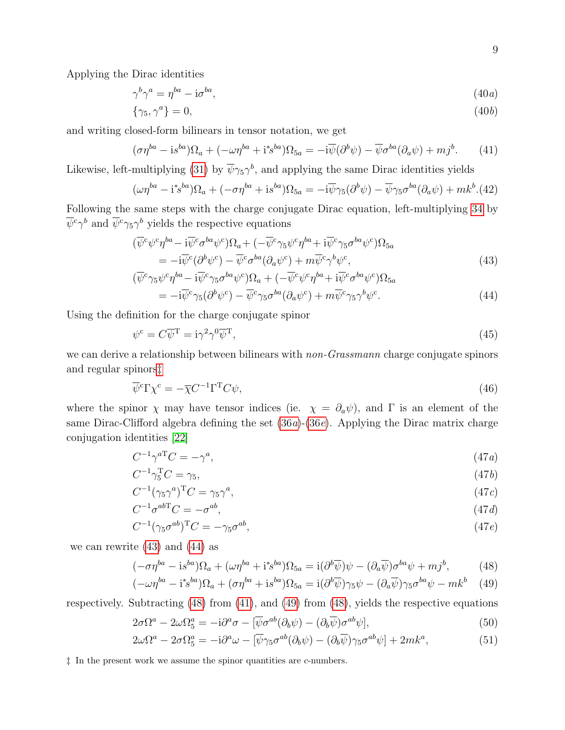Applying the Dirac identities

$$
\gamma^b \gamma^a = \eta^{ba} - i\sigma^{ba},\tag{40a}
$$

$$
\{\gamma_5, \gamma^a\} = 0,\tag{40b}
$$

and writing closed-form bilinears in tensor notation, we get

<span id="page-8-3"></span>
$$
(\sigma\eta^{ba} - is^{ba})\Omega_a + (-\omega\eta^{ba} + i^*s^{ba})\Omega_{5a} = -i\overline{\psi}(\partial^b\psi) - \overline{\psi}\sigma^{ba}(\partial_a\psi) + mj^b. \tag{41}
$$

Likewise, left-multiplying [\(31\)](#page-6-0) by  $\overline{\psi}\gamma_5\gamma^b$ , and applying the same Dirac identities yields

$$
(\omega \eta^{ba} - i^{*} s^{ba}) \Omega_a + (-\sigma \eta^{ba} + i s^{ba}) \Omega_{5a} = -i \overline{\psi} \gamma_5 (\partial^b \psi) - \overline{\psi} \gamma_5 \sigma^{ba} (\partial_a \psi) + m k^b (42)
$$

Following the same steps with the charge conjugate Dirac equation, left-multiplying [34](#page-7-1) by  $\overline{\psi}^c \gamma^b$  and  $\overline{\psi}^c \gamma_5 \gamma^b$  yields the respective equations

<span id="page-8-1"></span>
$$
(\overline{\psi}^c \psi^c \eta^{ba} - i \overline{\psi}^c \sigma^{ba} \psi^c) \Omega_a + (- \overline{\psi}^c \gamma_5 \psi^c \eta^{ba} + i \overline{\psi}^c \gamma_5 \sigma^{ba} \psi^c) \Omega_{5a}
$$
  
\n
$$
= -i \overline{\psi}^c (\partial^b \psi^c) - \overline{\psi}^c \sigma^{ba} (\partial_a \psi^c) + m \overline{\psi}^c \gamma^b \psi^c,
$$
  
\n
$$
(\overline{\psi}^c \gamma_5 \psi^c \eta^{ba} - i \overline{\psi}^c \gamma_5 \sigma^{ba} \psi^c) \Omega_a + (- \overline{\psi}^c \psi^c \eta^{ba} + i \overline{\psi}^c \sigma^{ba} \psi^c) \Omega_{5a}
$$
\n(43)

$$
\overline{\psi}^c \gamma_5 \psi^c \eta^{ba} - i \overline{\psi}^c \gamma_5 \sigma^{ba} \psi^c \Omega_a + (- \overline{\psi}^c \psi^c \eta^{ba} + i \overline{\psi}^c \sigma^{ba} \psi^c) \Omega_{5a}
$$
  
= 
$$
-i \overline{\psi}^c \gamma_5 (\partial^b \psi^c) - \overline{\psi}^c \gamma_5 \sigma^{ba} (\partial_a \psi^c) + m \overline{\psi}^c \gamma_5 \gamma^b \psi^c.
$$
 (44)

Using the definition for the charge conjugate spinor

$$
\psi^c = C\overline{\psi}^T = i\gamma^2 \gamma^0 \overline{\psi}^T,\tag{45}
$$

we can derive a relationship between bilinears with *non-Grassmann* charge conjugate spinors and regular spinors[‡](#page-8-0)

$$
\overline{\psi}^c \Gamma \chi^c = -\overline{\chi} C^{-1} \Gamma^T C \psi,\tag{46}
$$

where the spinor  $\chi$  may have tensor indices (ie.  $\chi = \partial_a \psi$ ), and  $\Gamma$  is an element of the same Dirac-Clifford algebra defining the set  $(36a)-(36e)$  $(36a)-(36e)$ . Applying the Dirac matrix charge conjugation identities [\[22\]](#page-19-8)

$$
C^{-1}\gamma^{aT}C = -\gamma^a,\tag{47a}
$$

$$
C^{-1}\gamma_5^{\mathrm{T}}C = \gamma_5,\tag{47b}
$$

$$
C^{-1}(\gamma_5\gamma^a)^{\mathrm{T}}C = \gamma_5\gamma^a,\tag{47c}
$$

$$
C^{-1} \sigma^{ab}{}^{T} C = -\sigma^{ab},\tag{47d}
$$

$$
C^{-1}(\gamma_5 \sigma^{ab})^{\mathrm{T}} C = -\gamma_5 \sigma^{ab},\tag{47e}
$$

we can rewrite  $(43)$  and  $(44)$  as

<span id="page-8-2"></span>
$$
(-\sigma \eta^{ba} - \mathrm{i} s^{ba})\Omega_a + (\omega \eta^{ba} + \mathrm{i}^* s^{ba})\Omega_{5a} = \mathrm{i}(\partial^b \overline{\psi})\psi - (\partial_a \overline{\psi})\sigma^{ba}\psi + m j^b,\tag{48}
$$

$$
(-\omega \eta^{ba} - i^{*} s^{ba}) \Omega_a + (\sigma \eta^{ba} + i s^{ba}) \Omega_{5a} = i(\partial^b \overline{\psi}) \gamma_5 \psi - (\partial_a \overline{\psi}) \gamma_5 \sigma^{ba} \psi - mk^b \quad (49)
$$

respectively. Subtracting [\(48\)](#page-8-2) from [\(41\)](#page-8-3), and [\(49\)](#page-8-2) from [\(48\)](#page-8-2), yields the respective equations

<span id="page-8-4"></span>
$$
2\sigma\Omega^{a} - 2\omega\Omega_{5}^{a} = -i\partial^{a}\sigma - [\overline{\psi}\sigma^{ab}(\partial_{b}\psi) - (\partial_{b}\overline{\psi})\sigma^{ab}\psi],
$$
\n(50)

$$
2\omega\Omega^{a} - 2\sigma\Omega_{5}^{a} = -i\partial^{a}\omega - [\overline{\psi}\gamma_{5}\sigma^{ab}(\partial_{b}\psi) - (\partial_{b}\overline{\psi})\gamma_{5}\sigma^{ab}\psi] + 2mk^{a},\tag{51}
$$

<span id="page-8-0"></span>‡ In the present work we assume the spinor quantities are c-numbers.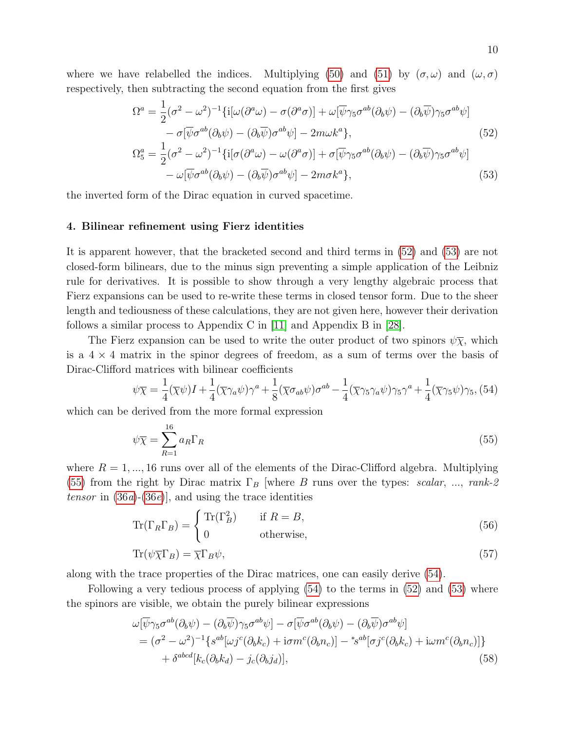where we have relabelled the indices. Multiplying [\(50\)](#page-8-4) and [\(51\)](#page-8-4) by  $(\sigma, \omega)$  and  $(\omega, \sigma)$ respectively, then subtracting the second equation from the first gives

<span id="page-9-1"></span>
$$
\Omega^{a} = \frac{1}{2}(\sigma^{2} - \omega^{2})^{-1}\{i[\omega(\partial^{a}\omega) - \sigma(\partial^{a}\sigma)] + \omega[\overline{\psi}\gamma_{5}\sigma^{ab}(\partial_{b}\psi) - (\partial_{b}\overline{\psi})\gamma_{5}\sigma^{ab}\psi] - \sigma[\overline{\psi}\sigma^{ab}(\partial_{b}\psi) - (\partial_{b}\overline{\psi})\sigma^{ab}\psi] - 2m\omega k^{a}\},
$$
\n
$$
\Omega_{5}^{a} = \frac{1}{2}(\sigma^{2} - \omega^{2})^{-1}\{i[\sigma(\partial^{a}\omega) - \omega(\partial^{a}\sigma)] + \sigma[\overline{\psi}\gamma_{5}\sigma^{ab}(\partial_{b}\psi) - (\partial_{b}\overline{\psi})\gamma_{5}\sigma^{ab}\psi] - \omega[\overline{\psi}\sigma^{ab}(\partial_{b}\psi) - (\partial_{b}\overline{\psi})\sigma^{ab}\psi] - 2m\sigma k^{a}\},
$$
\n(53)

the inverted form of the Dirac equation in curved spacetime.

#### <span id="page-9-0"></span>4. Bilinear refinement using Fierz identities

It is apparent however, that the bracketed second and third terms in [\(52\)](#page-9-1) and [\(53\)](#page-9-1) are not closed-form bilinears, due to the minus sign preventing a simple application of the Leibniz rule for derivatives. It is possible to show through a very lengthy algebraic process that Fierz expansions can be used to re-write these terms in closed tensor form. Due to the sheer length and tediousness of these calculations, they are not given here, however their derivation follows a similar process to Appendix C in [\[11\]](#page-17-10) and Appendix B in [\[28\]](#page-19-14).

The Fierz expansion can be used to write the outer product of two spinors  $\psi \overline{\chi}$ , which is a  $4 \times 4$  matrix in the spinor degrees of freedom, as a sum of terms over the basis of Dirac-Clifford matrices with bilinear coefficients

<span id="page-9-3"></span>
$$
\psi \overline{\chi} = \frac{1}{4} (\overline{\chi}\psi) I + \frac{1}{4} (\overline{\chi}\gamma_a \psi) \gamma^a + \frac{1}{8} (\overline{\chi}\sigma_{ab}\psi) \sigma^{ab} - \frac{1}{4} (\overline{\chi}\gamma_5\gamma_a \psi) \gamma_5 \gamma^a + \frac{1}{4} (\overline{\chi}\gamma_5 \psi) \gamma_5, (54)
$$

which can be derived from the more formal expression

<span id="page-9-2"></span>
$$
\psi \overline{\chi} = \sum_{R=1}^{16} a_R \Gamma_R \tag{55}
$$

where  $R = 1, \ldots, 16$  runs over all of the elements of the Dirac-Clifford algebra. Multiplying [\(55\)](#page-9-2) from the right by Dirac matrix  $\Gamma_B$  [where B runs over the types: scalar, ..., rank-2 tensor in  $(36a)-(36e)$  $(36a)-(36e)$ , and using the trace identities

$$
\operatorname{Tr}(\Gamma_R \Gamma_B) = \begin{cases} \operatorname{Tr}(\Gamma_B^2) & \text{if } R = B, \\ 0 & \text{otherwise,} \end{cases}
$$
 (56)

<span id="page-9-5"></span>
$$
\operatorname{Tr}(\psi \overline{\chi} \Gamma_B) = \overline{\chi} \Gamma_B \psi,\tag{57}
$$

along with the trace properties of the Dirac matrices, one can easily derive [\(54\)](#page-9-3).

Following a very tedious process of applying [\(54\)](#page-9-3) to the terms in [\(52\)](#page-9-1) and [\(53\)](#page-9-1) where the spinors are visible, we obtain the purely bilinear expressions

<span id="page-9-4"></span>
$$
\omega[\overline{\psi}\gamma_5\sigma^{ab}(\partial_b\psi) - (\partial_b\overline{\psi})\gamma_5\sigma^{ab}\psi] - \sigma[\overline{\psi}\sigma^{ab}(\partial_b\psi) - (\partial_b\overline{\psi})\sigma^{ab}\psi] \n= (\sigma^2 - \omega^2)^{-1} \{s^{ab}[\omega j^c(\partial_b k_c) + i\sigma m^c(\partial_b n_c)] - \s s^{ab}[\sigma j^c(\partial_b k_c) + i\omega m^c(\partial_b n_c)]\} \n+ \delta^{abcd}[k_c(\partial_b k_d) - j_c(\partial_b j_d)],
$$
\n(58)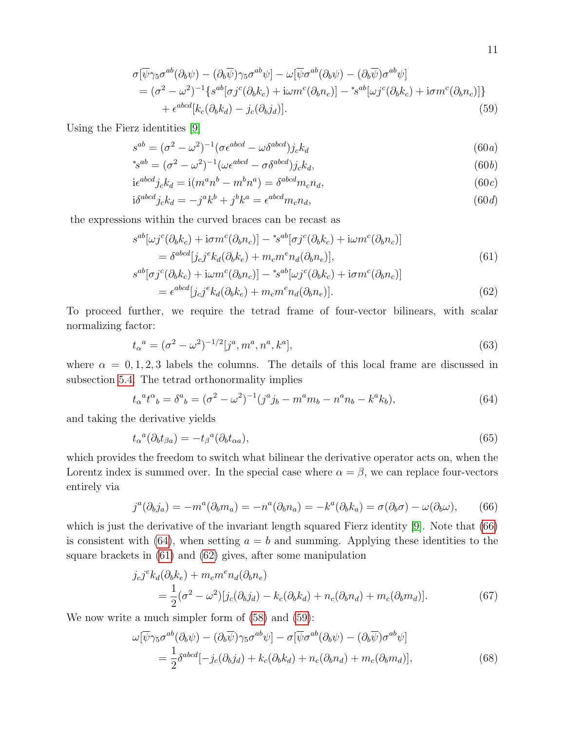$$
\sigma[\overline{\psi}\gamma_5\sigma^{ab}(\partial_b\psi) - (\partial_b\overline{\psi})\gamma_5\sigma^{ab}\psi] - \omega[\overline{\psi}\sigma^{ab}(\partial_b\psi) - (\partial_b\overline{\psi})\sigma^{ab}\psi]
$$
  
=  $(\sigma^2 - \omega^2)^{-1} \{s^{ab}[\sigma j^c(\partial_b k_c) + i\omega m^c(\partial_b n_c)] - {}^*s^{ab}[\omega j^c(\partial_b k_c) + i\sigma m^c(\partial_b n_c)]\}$   
+  $\epsilon^{abcd}[k_c(\partial_b k_d) - j_c(\partial_b j_d)].$  (59)

Using the Fierz identities [\[9\]](#page-17-8)

$$
s^{ab} = (\sigma^2 - \omega^2)^{-1} (\sigma \epsilon^{abcd} - \omega \delta^{abcd}) j_c k_d
$$
\n(60*a*)

$$
^*s^{ab} = (\sigma^2 - \omega^2)^{-1}(\omega \epsilon^{abcd} - \sigma \delta^{abcd})j_c k_d,
$$
\n(60b)

$$
i\epsilon^{abcd}j_c k_d = i(m^a n^b - m^b n^a) = \delta^{abcd} m_c n_d,\tag{60c}
$$

$$
i\delta^{abcd}j_c k_d = -j^a k^b + j^b k^a = \epsilon^{abcd} m_c n_d,
$$
\n(60*d*)

the expressions within the curved braces can be recast as

<span id="page-10-3"></span>
$$
s^{ab}[\omega j^{c}(\partial_{b}k_{c}) + i\sigma m^{c}(\partial_{b}n_{c})] - {}^{*}s^{ab}[\sigma j^{c}(\partial_{b}k_{c}) + i\omega m^{c}(\partial_{b}n_{c})]
$$
  
= 
$$
\delta^{abcd}[j_{c}j^{e}k_{d}(\partial_{b}k_{e}) + m_{c}m^{e}n_{d}(\partial_{b}n_{e})],
$$
 (61)

$$
s^{ab}[\sigma j^{c}(\partial_{b}k_{c}) + i\omega m^{c}(\partial_{b}n_{c})] - {}^{*}s^{ab}[\omega j^{c}(\partial_{b}k_{c}) + i\sigma m^{c}(\partial_{b}n_{c})]
$$
  

$$
= \epsilon^{abcd}[j_{c}j^{e}k_{d}(\partial_{b}k_{e}) + m_{c}m^{e}n_{d}(\partial_{b}n_{e})].
$$
 (62)

To proceed further, we require the tetrad frame of four-vector bilinears, with scalar normalizing factor:

<span id="page-10-0"></span>
$$
t_{\alpha}^{\ a} = (\sigma^2 - \omega^2)^{-1/2} [j^a, m^a, n^a, k^a],\tag{63}
$$

where  $\alpha = 0, 1, 2, 3$  labels the columns. The details of this local frame are discussed in subsection [5.4.](#page-14-1) The tetrad orthonormality implies

<span id="page-10-2"></span>
$$
t_{\alpha}{}^{a}t^{\alpha}{}_{b} = \delta^{a}{}_{b} = (\sigma^{2} - \omega^{2})^{-1}(j^{a}j_{b} - m^{a}m_{b} - n^{a}n_{b} - k^{a}k_{b}),
$$
\n(64)

and taking the derivative yields

$$
t_{\alpha}{}^{a}(\partial_{b}t_{\beta a}) = -t_{\beta}{}^{a}(\partial_{b}t_{\alpha a}), \qquad (65)
$$

which provides the freedom to switch what bilinear the derivative operator acts on, when the Lorentz index is summed over. In the special case where  $\alpha = \beta$ , we can replace four-vectors entirely via

<span id="page-10-1"></span>
$$
j^{a}(\partial_{b}j_{a}) = -m^{a}(\partial_{b}m_{a}) = -n^{a}(\partial_{b}n_{a}) = -k^{a}(\partial_{b}k_{a}) = \sigma(\partial_{b}\sigma) - \omega(\partial_{b}\omega), \qquad (66)
$$

which is just the derivative of the invariant length squared Fierz identity [\[9\]](#page-17-8). Note that [\(66\)](#page-10-1) is consistent with [\(64\)](#page-10-2), when setting  $a = b$  and summing. Applying these identities to the square brackets in [\(61\)](#page-10-3) and [\(62\)](#page-10-3) gives, after some manipulation

$$
j_c j^e k_d(\partial_b k_e) + m_c m^e n_d(\partial_b n_e)
$$
  
= 
$$
\frac{1}{2} (\sigma^2 - \omega^2) [j_c(\partial_b j_d) - k_c(\partial_b k_d) + n_c(\partial_b n_d) + m_c(\partial_b m_d)].
$$
 (67)

We now write a much simpler form of  $(58)$  and  $(59)$ :

<span id="page-10-4"></span>
$$
\omega[\overline{\psi}\gamma_5\sigma^{ab}(\partial_b\psi) - (\partial_b\overline{\psi})\gamma_5\sigma^{ab}\psi] - \sigma[\overline{\psi}\sigma^{ab}(\partial_b\psi) - (\partial_b\overline{\psi})\sigma^{ab}\psi]
$$
  
= 
$$
\frac{1}{2}\delta^{abcd}[-j_c(\partial_bj_d) + k_c(\partial_bk_d) + n_c(\partial_bn_d) + m_c(\partial_bm_d)],
$$
 (68)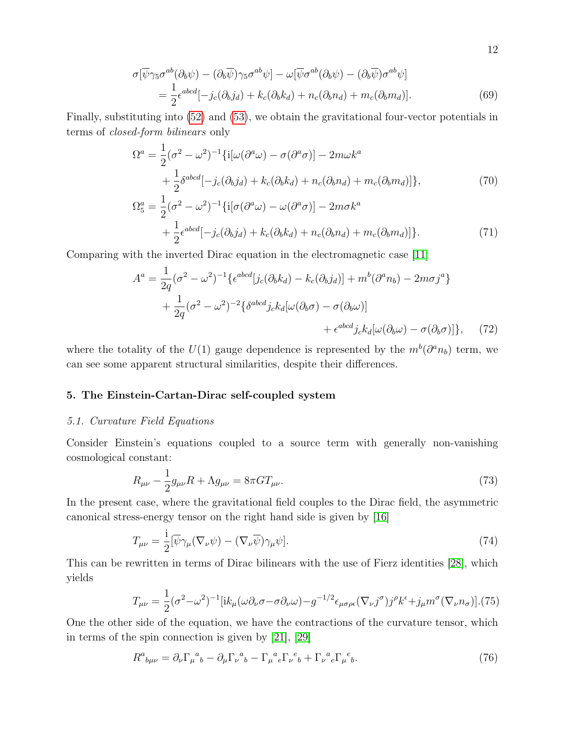$$
\sigma[\overline{\psi}\gamma_5\sigma^{ab}(\partial_b\psi) - (\partial_b\overline{\psi})\gamma_5\sigma^{ab}\psi] - \omega[\overline{\psi}\sigma^{ab}(\partial_b\psi) - (\partial_b\overline{\psi})\sigma^{ab}\psi]
$$
  
=  $\frac{1}{2}\epsilon^{abcd}[-j_c(\partial_bj_d) + k_c(\partial_bk_d) + n_c(\partial_bn_d) + m_c(\partial_bm_d)].$  (69)

Finally, substituting into [\(52\)](#page-9-1) and [\(53\)](#page-9-1), we obtain the gravitational four-vector potentials in terms of closed-form bilinears only

<span id="page-11-2"></span>
$$
\Omega^{a} = \frac{1}{2}(\sigma^{2} - \omega^{2})^{-1}\{i[\omega(\partial^{a}\omega) - \sigma(\partial^{a}\sigma)] - 2m\omega k^{a}
$$
  
+ 
$$
\frac{1}{2}\delta^{abcd}[-j_{c}(\partial_{b}j_{d}) + k_{c}(\partial_{b}k_{d}) + n_{c}(\partial_{b}n_{d}) + m_{c}(\partial_{b}m_{d})]\},
$$
  

$$
\Omega_{5}^{a} = \frac{1}{2}(\sigma^{2} - \omega^{2})^{-1}\{i[\sigma(\partial^{a}\omega) - \omega(\partial^{a}\sigma)] - 2m\sigma k^{a}
$$
  
+ 
$$
\frac{1}{2}\epsilon^{abcd}[-j_{c}(\partial_{b}j_{d}) + k_{c}(\partial_{b}k_{d}) + n_{c}(\partial_{b}n_{d}) + m_{c}(\partial_{b}m_{d})]\}.
$$
 (71)

Comparing with the inverted Dirac equation in the electromagnetic case [\[11\]](#page-17-10)

$$
A^{a} = \frac{1}{2q}(\sigma^{2} - \omega^{2})^{-1} \{ \epsilon^{abcd} [j_{c}(\partial_{b}k_{d}) - k_{c}(\partial_{b}j_{d})] + m^{b}(\partial^{a}n_{b}) - 2m\sigma j^{a} \} + \frac{1}{2q}(\sigma^{2} - \omega^{2})^{-2} \{ \delta^{abcd} j_{c} k_{d} [\omega(\partial_{b}\sigma) - \sigma(\partial_{b}\omega)] + \epsilon^{abcd} j_{c} k_{d} [\omega(\partial_{b}\omega) - \sigma(\partial_{b}\sigma)] \}, \quad (72)
$$

where the totality of the  $U(1)$  gauge dependence is represented by the  $m^{b}(\partial^{a}n_{b})$  term, we can see some apparent structural similarities, despite their differences.

# <span id="page-11-0"></span>5. The Einstein-Cartan-Dirac self-coupled system

#### <span id="page-11-1"></span>5.1. Curvature Field Equations

Consider Einstein's equations coupled to a source term with generally non-vanishing cosmological constant:

<span id="page-11-3"></span>
$$
R_{\mu\nu} - \frac{1}{2}g_{\mu\nu}R + \Lambda g_{\mu\nu} = 8\pi GT_{\mu\nu}.
$$
\n(73)

In the present case, where the gravitational field couples to the Dirac field, the asymmetric canonical stress-energy tensor on the right hand side is given by [\[16\]](#page-19-2)

$$
T_{\mu\nu} = \frac{1}{2} [\overline{\psi} \gamma_{\mu} (\nabla_{\nu} \psi) - (\nabla_{\nu} \overline{\psi}) \gamma_{\mu} \psi]. \tag{74}
$$

This can be rewritten in terms of Dirac bilinears with the use of Fierz identities [\[28\]](#page-19-14), which yields

$$
T_{\mu\nu} = \frac{1}{2} (\sigma^2 - \omega^2)^{-1} [i k_{\mu} (\omega \partial_{\nu} \sigma - \sigma \partial_{\nu} \omega) - g^{-1/2} \epsilon_{\mu \sigma \rho \epsilon} (\nabla_{\nu} j^{\sigma}) j^{\rho} k^{\epsilon} + j_{\mu} m^{\sigma} (\nabla_{\nu} n_{\sigma})]. (75)
$$

One the other side of the equation, we have the contractions of the curvature tensor, which in terms of the spin connection is given by [\[21\]](#page-19-7), [\[29\]](#page-19-15)

$$
R^{a}{}_{b\mu\nu} = \partial_{\nu}\Gamma_{\mu}{}^{a}{}_{b} - \partial_{\mu}\Gamma_{\nu}{}^{a}{}_{b} - \Gamma_{\mu}{}^{a}{}_{e}\Gamma_{\nu}{}^{e}{}_{b} + \Gamma_{\nu}{}^{a}{}_{e}\Gamma_{\mu}{}^{e}{}_{b}.
$$
 (76)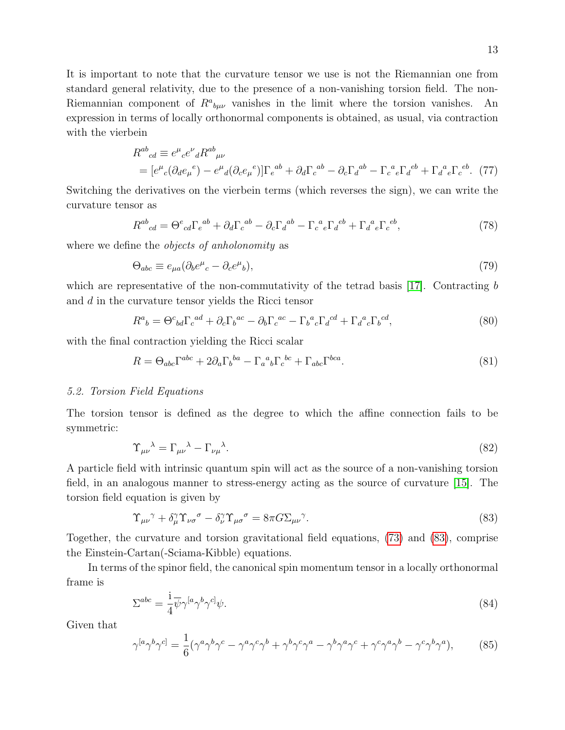It is important to note that the curvature tensor we use is not the Riemannian one from standard general relativity, due to the presence of a non-vanishing torsion field. The non-Riemannian component of  $R^a{}_{b\mu\nu}$  vanishes in the limit where the torsion vanishes. An expression in terms of locally orthonormal components is obtained, as usual, via contraction with the vierbein

$$
R^{ab}_{cd} \equiv e^{\mu}_{c} e^{\nu}_{d} R^{ab}_{\mu\nu}
$$
  
= 
$$
[e^{\mu}_{c} (\partial_{d} e_{\mu}{}^{e}) - e^{\mu}_{d} (\partial_{c} e_{\mu}{}^{e})] \Gamma_{e}{}^{ab} + \partial_{d} \Gamma_{c}{}^{ab} - \partial_{c} \Gamma_{d}{}^{ab} - \Gamma_{c}{}^{a}_{e} \Gamma_{d}{}^{eb} + \Gamma_{d}{}^{a}_{e} \Gamma_{c}{}^{eb}.
$$
 (77)

Switching the derivatives on the vierbein terms (which reverses the sign), we can write the curvature tensor as

$$
R^{ab}{}_{cd} = \Theta^e{}_{cd} \Gamma_e{}^{ab} + \partial_d \Gamma_c{}^{ab} - \partial_c \Gamma_d{}^{ab} - \Gamma_c{}^a{}_e \Gamma_d{}^{eb} + \Gamma_d{}^a{}_e \Gamma_c{}^{eb},\tag{78}
$$

where we define the *objects of anholonomity* as

<span id="page-12-1"></span>
$$
\Theta_{abc} \equiv e_{\mu a} (\partial_b e^{\mu}{}_c - \partial_c e^{\mu}{}_b),\tag{79}
$$

which are representative of the non-commutativity of the tetrad basis  $[17]$ . Contracting b and d in the curvature tensor yields the Ricci tensor

$$
R^a{}_b = \Theta^c{}_{bd} \Gamma^{\phantom{c}ad}_c + \partial_c \Gamma^{\phantom{c}ac}_b - \partial_b \Gamma^{\phantom{c}ac}_c - \Gamma^{\phantom{c}a}_b{}^c \Gamma^{\phantom{c}cd}_d + \Gamma^{\phantom{c}a}_d{}^c \Gamma^{\phantom{c}cd}_b,\tag{80}
$$

with the final contraction yielding the Ricci scalar

$$
R = \Theta_{abc} \Gamma^{abc} + 2\partial_a \Gamma_b{}^{ba} - \Gamma_a{}^a{}_b \Gamma_c{}^{bc} + \Gamma_{abc} \Gamma^{bca}.
$$
\n(81)

#### <span id="page-12-0"></span>5.2. Torsion Field Equations

The torsion tensor is defined as the degree to which the affine connection fails to be symmetric:

$$
\Upsilon_{\mu\nu}{}^{\lambda} = \Gamma_{\mu\nu}{}^{\lambda} - \Gamma_{\nu\mu}{}^{\lambda}.
$$
\n(82)

A particle field with intrinsic quantum spin will act as the source of a non-vanishing torsion field, in an analogous manner to stress-energy acting as the source of curvature [\[15\]](#page-19-1). The torsion field equation is given by

<span id="page-12-2"></span>
$$
\Upsilon_{\mu\nu}{}^{\gamma} + \delta_{\mu}^{\gamma} \Upsilon_{\nu\sigma}{}^{\sigma} - \delta_{\nu}^{\gamma} \Upsilon_{\mu\sigma}{}^{\sigma} = 8\pi G \Sigma_{\mu\nu}{}^{\gamma}.
$$
\n(83)

Together, the curvature and torsion gravitational field equations, [\(73\)](#page-11-3) and [\(83\)](#page-12-2), comprise the Einstein-Cartan(-Sciama-Kibble) equations.

In terms of the spinor field, the canonical spin momentum tensor in a locally orthonormal frame is

<span id="page-12-3"></span>
$$
\Sigma^{abc} = \frac{1}{4} \overline{\psi} \gamma^{[a} \gamma^{b} \gamma^{c]} \psi. \tag{84}
$$

Given that

$$
\gamma^{[a}\gamma^{b}\gamma^{c]} = \frac{1}{6}(\gamma^{a}\gamma^{b}\gamma^{c} - \gamma^{a}\gamma^{c}\gamma^{b} + \gamma^{b}\gamma^{c}\gamma^{a} - \gamma^{b}\gamma^{a}\gamma^{c} + \gamma^{c}\gamma^{a}\gamma^{b} - \gamma^{c}\gamma^{b}\gamma^{a}),
$$
(85)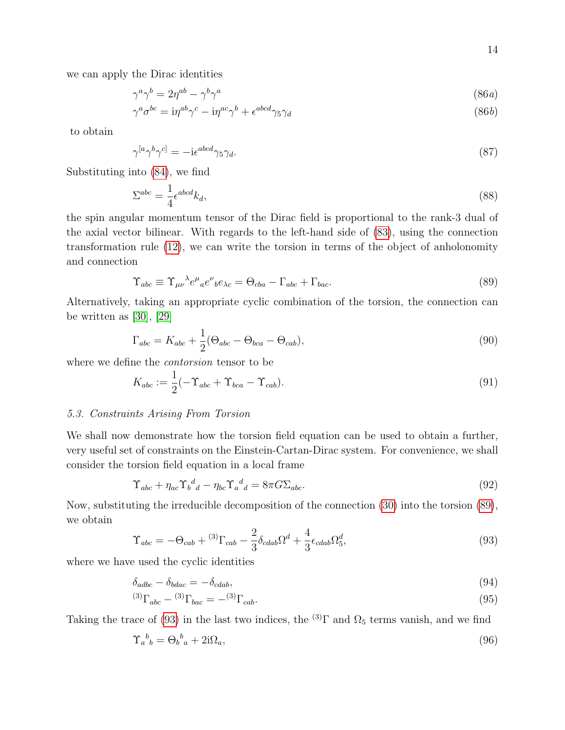we can apply the Dirac identities

$$
\gamma^a \gamma^b = 2\eta^{ab} - \gamma^b \gamma^a \tag{86a}
$$

$$
\gamma^a \sigma^{bc} = i \eta^{ab} \gamma^c - i \eta^{ac} \gamma^b + \epsilon^{abcd} \gamma_5 \gamma_d \tag{86b}
$$

to obtain

$$
\gamma^{[a}\gamma^{b}\gamma^{c]} = -i\epsilon^{abcd}\gamma_5\gamma_d. \tag{87}
$$

Substituting into [\(84\)](#page-12-3), we find

<span id="page-13-4"></span>
$$
\Sigma^{abc} = \frac{1}{4} \epsilon^{abcd} k_d,
$$
\n(88)

the spin angular momentum tensor of the Dirac field is proportional to the rank-3 dual of the axial vector bilinear. With regards to the left-hand side of [\(83\)](#page-12-2), using the connection transformation rule [\(12\)](#page-4-3), we can write the torsion in terms of the object of anholonomity and connection

<span id="page-13-1"></span>
$$
\Upsilon_{abc} \equiv \Upsilon_{\mu\nu}{}^{\lambda} e^{\mu}{}_{a} e^{\nu}{}_{b} e_{\lambda c} = \Theta_{cba} - \Gamma_{abc} + \Gamma_{bac}.
$$
\n(89)

Alternatively, taking an appropriate cyclic combination of the torsion, the connection can be written as  $[30]$ ,  $[29]$ 

<span id="page-13-6"></span>
$$
\Gamma_{abc} = K_{abc} + \frac{1}{2} (\Theta_{abc} - \Theta_{bca} - \Theta_{cab}), \qquad (90)
$$

where we define the *contorsion* tensor to be

$$
K_{abc} := \frac{1}{2}(-\Upsilon_{abc} + \Upsilon_{bca} - \Upsilon_{cab}).\tag{91}
$$

#### <span id="page-13-0"></span>5.3. Constraints Arising From Torsion

We shall now demonstrate how the torsion field equation can be used to obtain a further, very useful set of constraints on the Einstein-Cartan-Dirac system. For convenience, we shall consider the torsion field equation in a local frame

<span id="page-13-5"></span>
$$
\Upsilon_{abc} + \eta_{ac} \Upsilon_b{}^d{}_d - \eta_{bc} \Upsilon_a{}^d{}_d = 8\pi G \Sigma_{abc}.
$$
\n(92)

Now, substituting the irreducible decomposition of the connection [\(30\)](#page-6-1) into the torsion [\(89\)](#page-13-1), we obtain

<span id="page-13-2"></span>
$$
\Upsilon_{abc} = -\Theta_{cab} + {}^{(3)}\Gamma_{cab} - \frac{2}{3}\delta_{cdab}\Omega^d + \frac{4}{3}\epsilon_{cdab}\Omega_5^d,\tag{93}
$$

where we have used the cyclic identities

$$
\delta_{adbc} - \delta_{bdac} = -\delta_{cdab},\tag{94}
$$

$$
^{(3)}\Gamma_{abc} - {}^{(3)}\Gamma_{bac} = - {}^{(3)}\Gamma_{cab}.
$$
\n(95)

Taking the trace of [\(93\)](#page-13-2) in the last two indices, the <sup>(3)</sup>Γ and  $\Omega_5$  terms vanish, and we find

<span id="page-13-3"></span>
$$
\Upsilon_a{}^b{}_b = \Theta_b{}^b{}_a + 2i\Omega_a,\tag{96}
$$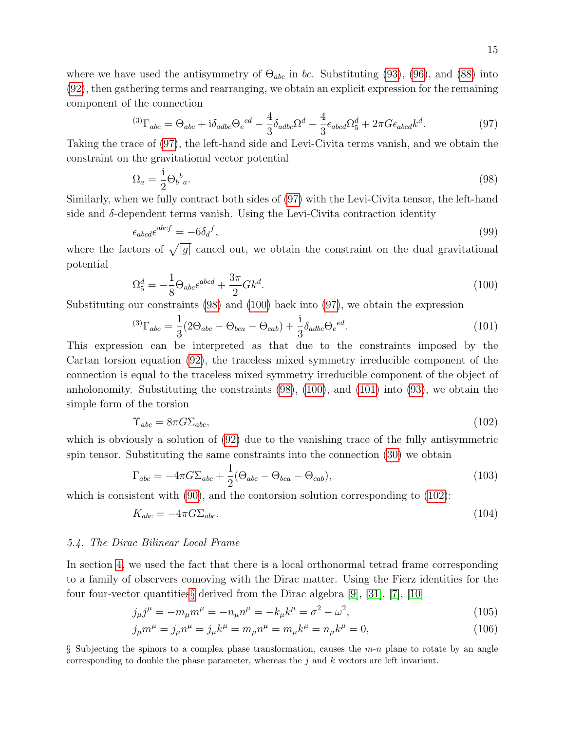where we have used the antisymmetry of  $\Theta_{abc}$  in bc. Substituting [\(93\)](#page-13-2), [\(96\)](#page-13-3), and [\(88\)](#page-13-4) into [\(92\)](#page-13-5), then gathering terms and rearranging, we obtain an explicit expression for the remaining component of the connection

<span id="page-14-2"></span>
$$
^{(3)}\Gamma_{abc} = \Theta_{abc} + i\delta_{adbc}\Theta_e^{ed} - \frac{4}{3}\delta_{adbc}\Omega^d - \frac{4}{3}\epsilon_{abcd}\Omega_5^d + 2\pi G\epsilon_{abcd}k^d.
$$
 (97)

Taking the trace of [\(97\)](#page-14-2), the left-hand side and Levi-Civita terms vanish, and we obtain the constraint on the gravitational vector potential

<span id="page-14-3"></span>
$$
\Omega_a = \frac{1}{2} \Theta_b{}^b{}_a. \tag{98}
$$

Similarly, when we fully contract both sides of [\(97\)](#page-14-2) with the Levi-Civita tensor, the left-hand side and  $\delta$ -dependent terms vanish. Using the Levi-Civita contraction identity

$$
\epsilon_{abcd}\epsilon^{abcf} = -6\delta_d{}^f,\tag{99}
$$

where the factors of  $\sqrt{|g|}$  cancel out, we obtain the constraint on the dual gravitational potential

<span id="page-14-0"></span>
$$
\Omega_5^d = -\frac{1}{8} \Theta_{abc} \epsilon^{abcd} + \frac{3\pi}{2} G k^d. \tag{100}
$$

Substituting our constraints [\(98\)](#page-14-3) and [\(100\)](#page-14-0) back into [\(97\)](#page-14-2), we obtain the expression

<span id="page-14-4"></span>
$$
^{(3)}\Gamma_{abc} = \frac{1}{3}(2\Theta_{abc} - \Theta_{bca} - \Theta_{cab}) + \frac{1}{3}\delta_{adbc}\Theta_e^{ed}.
$$
\n
$$
(101)
$$

This expression can be interpreted as that due to the constraints imposed by the Cartan torsion equation [\(92\)](#page-13-5), the traceless mixed symmetry irreducible component of the connection is equal to the traceless mixed symmetry irreducible component of the object of anholonomity. Substituting the constraints [\(98\)](#page-14-3), [\(100\)](#page-14-0), and [\(101\)](#page-14-4) into [\(93\)](#page-13-2), we obtain the simple form of the torsion

<span id="page-14-5"></span>
$$
\Upsilon_{abc} = 8\pi G \Sigma_{abc},\tag{102}
$$

which is obviously a solution of [\(92\)](#page-13-5) due to the vanishing trace of the fully antisymmetric spin tensor. Substituting the same constraints into the connection [\(30\)](#page-6-1) we obtain

$$
\Gamma_{abc} = -4\pi G \Sigma_{abc} + \frac{1}{2} (\Theta_{abc} - \Theta_{bca} - \Theta_{cab}), \qquad (103)
$$

which is consistent with [\(90\)](#page-13-6), and the contorsion solution corresponding to [\(102\)](#page-14-5):

$$
K_{abc} = -4\pi G \Sigma_{abc}.\tag{104}
$$

# <span id="page-14-1"></span>5.4. The Dirac Bilinear Local Frame

In section [4,](#page-9-0) we used the fact that there is a local orthonormal tetrad frame corresponding to a family of observers comoving with the Dirac matter. Using the Fierz identities for the four four-vector quantities derived from the Dirac algebra [\[9\]](#page-17-8), [\[31\]](#page-19-17), [\[7\]](#page-17-6), [\[10\]](#page-17-9)

<span id="page-14-7"></span>
$$
j_{\mu}j^{\mu} = -m_{\mu}m^{\mu} = -n_{\mu}n^{\mu} = -k_{\mu}k^{\mu} = \sigma^2 - \omega^2,
$$
\n(105)

$$
j_{\mu}m^{\mu} = j_{\mu}n^{\mu} = j_{\mu}k^{\mu} = m_{\mu}n^{\mu} = m_{\mu}k^{\mu} = n_{\mu}k^{\mu} = 0,
$$
\n(106)

<span id="page-14-6"></span> $\S$  Subjecting the spinors to a complex phase transformation, causes the  $m-n$  plane to rotate by an angle corresponding to double the phase parameter, whereas the  $j$  and  $k$  vectors are left invariant.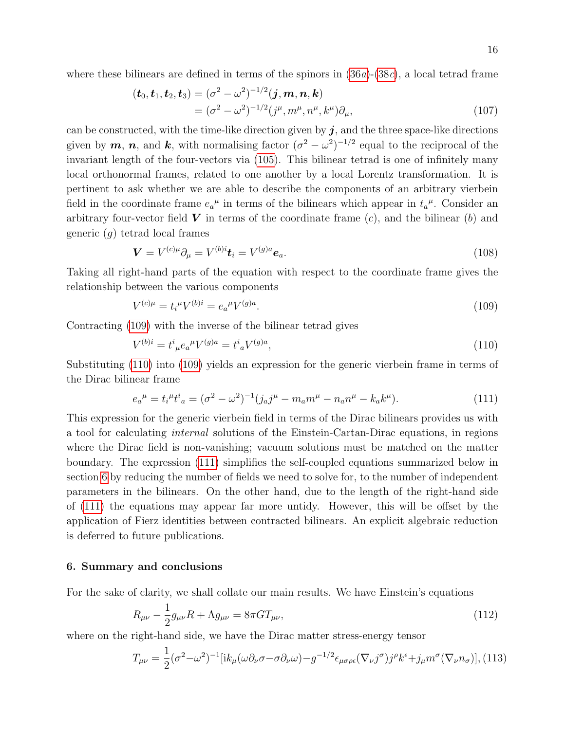where these bilinears are defined in terms of the spinors in  $(36a)-(38c)$  $(36a)-(38c)$  $(36a)-(38c)$ , a local tetrad frame

$$
(\boldsymbol{t}_0, \boldsymbol{t}_1, \boldsymbol{t}_2, \boldsymbol{t}_3) = (\sigma^2 - \omega^2)^{-1/2} (\boldsymbol{j}, \boldsymbol{m}, \boldsymbol{n}, \boldsymbol{k})
$$
  
=  $(\sigma^2 - \omega^2)^{-1/2} (j^{\mu}, m^{\mu}, n^{\mu}, k^{\mu}) \partial_{\mu},$  (107)

can be constructed, with the time-like direction given by  $j$ , and the three space-like directions given by  $m, n$ , and k, with normalising factor  $(\sigma^2 - \omega^2)^{-1/2}$  equal to the reciprocal of the invariant length of the four-vectors via [\(105\)](#page-14-7). This bilinear tetrad is one of infinitely many local orthonormal frames, related to one another by a local Lorentz transformation. It is pertinent to ask whether we are able to describe the components of an arbitrary vierbein field in the coordinate frame  $e_a^{\mu}$  in terms of the bilinears which appear in  $t_a^{\mu}$ . Consider an arbitrary four-vector field  $V$  in terms of the coordinate frame  $(c)$ , and the bilinear  $(b)$  and generic  $(q)$  tetrad local frames

$$
\mathbf{V} = V^{(c)\mu} \partial_{\mu} = V^{(b)i} \mathbf{t}_i = V^{(g)a} \mathbf{e}_a. \tag{108}
$$

Taking all right-hand parts of the equation with respect to the coordinate frame gives the relationship between the various components

<span id="page-15-1"></span>
$$
V^{(c)\mu} = t_i^{\mu} V^{(b)i} = e_a^{\mu} V^{(g)a}.
$$
\n(109)

Contracting [\(109\)](#page-15-1) with the inverse of the bilinear tetrad gives

<span id="page-15-2"></span>
$$
V^{(b)i} = t^i{}_{\mu} e_a{}^{\mu} V^{(g)a} = t^i{}_{a} V^{(g)a},\tag{110}
$$

Substituting [\(110\)](#page-15-2) into [\(109\)](#page-15-1) yields an expression for the generic vierbein frame in terms of the Dirac bilinear frame

<span id="page-15-3"></span>
$$
e_a{}^{\mu} = t_i{}^{\mu} t^i{}_a = (\sigma^2 - \omega^2)^{-1} (j_a j^{\mu} - m_a m^{\mu} - n_a n^{\mu} - k_a k^{\mu}). \tag{111}
$$

This expression for the generic vierbein field in terms of the Dirac bilinears provides us with a tool for calculating internal solutions of the Einstein-Cartan-Dirac equations, in regions where the Dirac field is non-vanishing; vacuum solutions must be matched on the matter boundary. The expression [\(111\)](#page-15-3) simplifies the self-coupled equations summarized below in section [6](#page-15-0) by reducing the number of fields we need to solve for, to the number of independent parameters in the bilinears. On the other hand, due to the length of the right-hand side of [\(111\)](#page-15-3) the equations may appear far more untidy. However, this will be offset by the application of Fierz identities between contracted bilinears. An explicit algebraic reduction is deferred to future publications.

# <span id="page-15-0"></span>6. Summary and conclusions

For the sake of clarity, we shall collate our main results. We have Einstein's equations

<span id="page-15-4"></span>
$$
R_{\mu\nu} - \frac{1}{2}g_{\mu\nu}R + \Lambda g_{\mu\nu} = 8\pi GT_{\mu\nu},\tag{112}
$$

where on the right-hand side, we have the Dirac matter stress-energy tensor

$$
T_{\mu\nu} = \frac{1}{2} (\sigma^2 - \omega^2)^{-1} [i k_{\mu} (\omega \partial_{\nu} \sigma - \sigma \partial_{\nu} \omega) - g^{-1/2} \epsilon_{\mu \sigma \rho \epsilon} (\nabla_{\nu} j^{\sigma}) j^{\rho} k^{\epsilon} + j_{\mu} m^{\sigma} (\nabla_{\nu} n_{\sigma})],
$$
(113)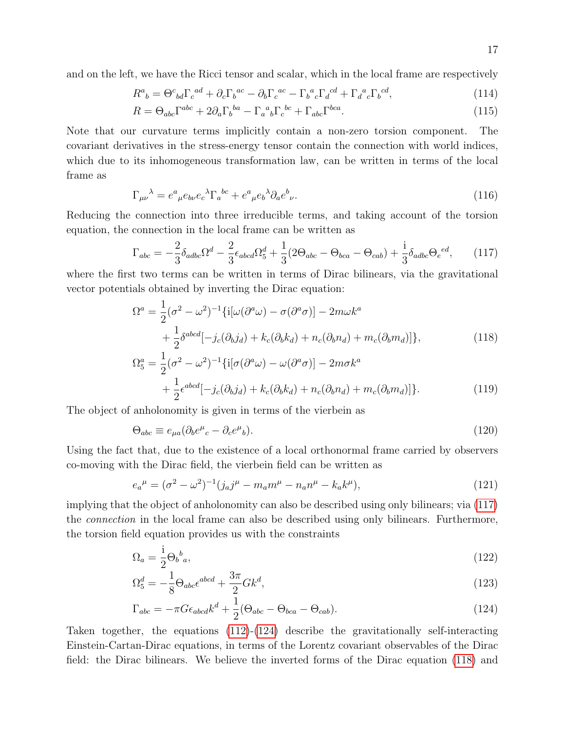and on the left, we have the Ricci tensor and scalar, which in the local frame are respectively

$$
R^{a}{}_{b} = \Theta^{c}{}_{bd} \Gamma_{c}{}^{ad} + \partial_{c} \Gamma_{b}{}^{ac} - \partial_{b} \Gamma_{c}{}^{ac} - \Gamma_{b}{}^{a}{}_{c} \Gamma_{d}{}^{cd} + \Gamma_{d}{}^{a}{}_{c} \Gamma_{b}{}^{cd}, \tag{114}
$$

$$
R = \Theta_{abc} \Gamma^{abc} + 2\partial_a \Gamma_b{}^{ba} - \Gamma_a{}^a{}_b \Gamma_c{}^{bc} + \Gamma_{abc} \Gamma^{bca}.
$$
 (115)

Note that our curvature terms implicitly contain a non-zero torsion component. The covariant derivatives in the stress-energy tensor contain the connection with world indices, which due to its inhomogeneous transformation law, can be written in terms of the local frame as

$$
\Gamma_{\mu\nu}{}^{\lambda} = e^a{}_{\mu} e_{b\nu} e_c{}^{\lambda} \Gamma_a{}^{bc} + e^a{}_{\mu} e_b{}^{\lambda} \partial_a e^b{}_{\nu}.
$$
\n(116)

Reducing the connection into three irreducible terms, and taking account of the torsion equation, the connection in the local frame can be written as

<span id="page-16-0"></span>
$$
\Gamma_{abc} = -\frac{2}{3} \delta_{adbc} \Omega^d - \frac{2}{3} \epsilon_{abcd} \Omega_5^d + \frac{1}{3} (2 \Theta_{abc} - \Theta_{bca} - \Theta_{cab}) + \frac{\mathrm{i}}{3} \delta_{adbc} \Theta_e^{ed},\tag{117}
$$

where the first two terms can be written in terms of Dirac bilinears, via the gravitational vector potentials obtained by inverting the Dirac equation:

<span id="page-16-2"></span>
$$
\Omega^{a} = \frac{1}{2} (\sigma^{2} - \omega^{2})^{-1} \{ i[\omega(\partial^{a}\omega) - \sigma(\partial^{a}\sigma)] - 2m\omega k^{a} \n+ \frac{1}{2} \delta^{abcd} [-j_{c}(\partial_{b}j_{d}) + k_{c}(\partial_{b}k_{d}) + n_{c}(\partial_{b}n_{d}) + m_{c}(\partial_{b}m_{d})] \},
$$
\n(118)\n
$$
\Omega_{5}^{a} = \frac{1}{2} (\sigma^{2} - \omega^{2})^{-1} \{ i[\sigma(\partial^{a}\omega) - \omega(\partial^{a}\sigma)] - 2m\sigma k^{a}
$$

$$
2^{(c)} \stackrel{(c)}{=} \frac{1}{2} \epsilon^{abcd} \left[ -j_c(\partial_b j_d) + k_c(\partial_b k_d) + n_c(\partial_b n_d) + m_c(\partial_b m_d) \right]. \tag{119}
$$

The object of anholonomity is given in terms of the vierbein as

$$
\Theta_{abc} \equiv e_{\mu a} (\partial_b e^{\mu}{}_c - \partial_c e^{\mu}{}_b). \tag{120}
$$

Using the fact that, due to the existence of a local orthonormal frame carried by observers co-moving with the Dirac field, the vierbein field can be written as

$$
e_a^{\mu} = (\sigma^2 - \omega^2)^{-1} (j_a j^{\mu} - m_a m^{\mu} - n_a n^{\mu} - k_a k^{\mu}), \qquad (121)
$$

implying that the object of anholonomity can also be described using only bilinears; via [\(117\)](#page-16-0) the connection in the local frame can also be described using only bilinears. Furthermore, the torsion field equation provides us with the constraints

<span id="page-16-1"></span>
$$
\Omega_a = \frac{1}{2} \Theta_b{}^b{}_a,\tag{122}
$$

$$
\Omega_5^d = -\frac{1}{8} \Theta_{abc} \epsilon^{abcd} + \frac{3\pi}{2} G k^d,
$$
\n(123)

$$
\Gamma_{abc} = -\pi G \epsilon_{abcd} k^d + \frac{1}{2} (\Theta_{abc} - \Theta_{bca} - \Theta_{cab}). \tag{124}
$$

Taken together, the equations [\(112\)](#page-15-4)-[\(124\)](#page-16-1) describe the gravitationally self-interacting Einstein-Cartan-Dirac equations, in terms of the Lorentz covariant observables of the Dirac field: the Dirac bilinears. We believe the inverted forms of the Dirac equation [\(118\)](#page-16-2) and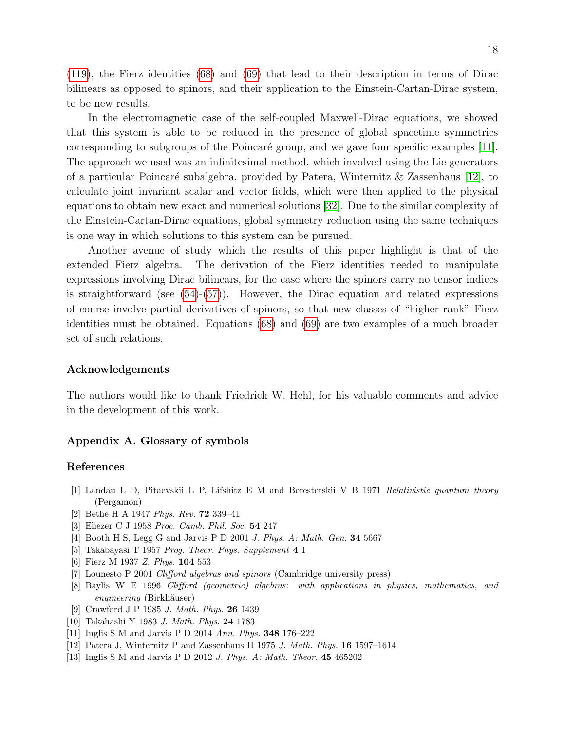[\(119\)](#page-16-2), the Fierz identities [\(68\)](#page-10-4) and [\(69\)](#page-10-4) that lead to their description in terms of Dirac bilinears as opposed to spinors, and their application to the Einstein-Cartan-Dirac system, to be new results.

In the electromagnetic case of the self-coupled Maxwell-Dirac equations, we showed that this system is able to be reduced in the presence of global spacetime symmetries corresponding to subgroups of the Poincaré group, and we gave four specific examples [\[11\]](#page-17-10). The approach we used was an infinitesimal method, which involved using the Lie generators of a particular Poincaré subalgebra, provided by Patera, Winternitz & Zassenhaus [\[12\]](#page-17-11), to calculate joint invariant scalar and vector fields, which were then applied to the physical equations to obtain new exact and numerical solutions [\[32\]](#page-19-18). Due to the similar complexity of the Einstein-Cartan-Dirac equations, global symmetry reduction using the same techniques is one way in which solutions to this system can be pursued.

Another avenue of study which the results of this paper highlight is that of the extended Fierz algebra. The derivation of the Fierz identities needed to manipulate expressions involving Dirac bilinears, for the case where the spinors carry no tensor indices is straightforward (see  $(54)-(57)$  $(54)-(57)$ ). However, the Dirac equation and related expressions of course involve partial derivatives of spinors, so that new classes of "higher rank" Fierz identities must be obtained. Equations [\(68\)](#page-10-4) and [\(69\)](#page-10-4) are two examples of a much broader set of such relations.

# Acknowledgements

The authors would like to thank Friedrich W. Hehl, for his valuable comments and advice in the development of this work.

#### <span id="page-17-13"></span>Appendix A. Glossary of symbols

# References

- <span id="page-17-0"></span>[1] Landau L D, Pitaevskii L P, Lifshitz E M and Berestetskii V B 1971 Relativistic quantum theory (Pergamon)
- <span id="page-17-1"></span>[2] Bethe H A 1947 Phys. Rev. 72 339–41
- <span id="page-17-2"></span>[3] Eliezer C J 1958 Proc. Camb. Phil. Soc. 54 247
- <span id="page-17-3"></span>[4] Booth H S, Legg G and Jarvis P D 2001 J. Phys. A: Math. Gen. **34** 5667
- <span id="page-17-4"></span>[5] Takabayasi T 1957 Prog. Theor. Phys. Supplement 4 1
- <span id="page-17-5"></span>[6] Fierz M 1937 Z. Phys. 104 553
- <span id="page-17-6"></span>[7] Lounesto P 2001 Clifford algebras and spinors (Cambridge university press)
- <span id="page-17-7"></span>[8] Baylis W E 1996 Clifford (geometric) algebras: with applications in physics, mathematics, and engineering (Birkhäuser)
- <span id="page-17-8"></span>[9] Crawford J P 1985 J. Math. Phys. 26 1439
- <span id="page-17-9"></span>[10] Takahashi Y 1983 J. Math. Phys. 24 1783
- <span id="page-17-10"></span>[11] Inglis S M and Jarvis P D 2014 Ann. Phys. 348 176–222
- <span id="page-17-11"></span>[12] Patera J, Winternitz P and Zassenhaus H 1975 J. Math. Phys. 16 1597–1614
- <span id="page-17-12"></span>[13] Inglis S M and Jarvis P D 2012 J. Phys. A: Math. Theor. 45 465202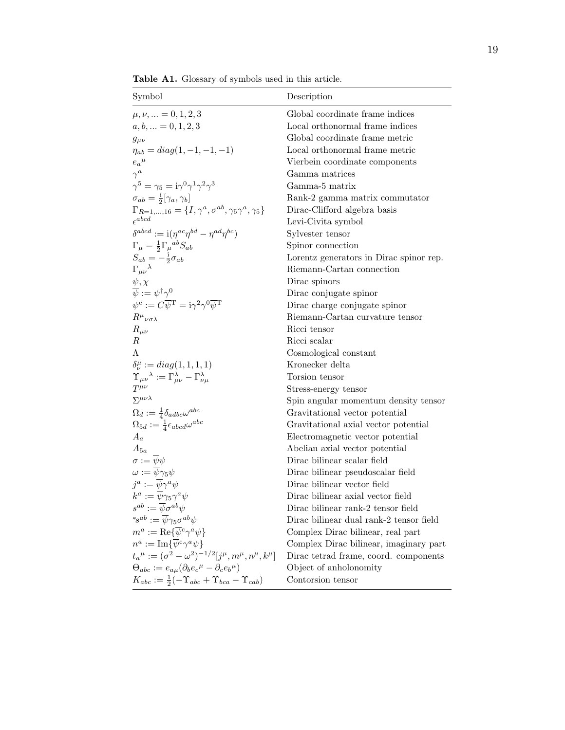| Table A1. Glossary of symbols used in this article. |  |  |  |  |  |  |
|-----------------------------------------------------|--|--|--|--|--|--|
|-----------------------------------------------------|--|--|--|--|--|--|

| Symbol                                                                                                    | Description                             |  |  |  |
|-----------------------------------------------------------------------------------------------------------|-----------------------------------------|--|--|--|
| $\mu, \nu, \ldots = 0, 1, 2, 3$                                                                           | Global coordinate frame indices         |  |  |  |
| $a, b,  = 0, 1, 2, 3$                                                                                     | Local orthonormal frame indices         |  |  |  |
| $g_{\mu\nu}$                                                                                              | Global coordinate frame metric          |  |  |  |
| $\eta_{ab} = diag(1, -1, -1, -1)$                                                                         | Local orthonormal frame metric          |  |  |  |
| $e_a{}^{\mu}$                                                                                             | Vierbein coordinate components          |  |  |  |
| $\gamma^a$                                                                                                | Gamma matrices                          |  |  |  |
| $\gamma^5 = \gamma_5 = i \gamma^0 \gamma^1 \gamma^2 \gamma^3$                                             | Gamma-5 matrix                          |  |  |  |
| $\sigma_{ab} = \frac{1}{2} [\gamma_a, \gamma_b]$                                                          | Rank-2 gamma matrix commutator          |  |  |  |
| $\Gamma_{R=1,,16} = \{I, \gamma^a, \sigma^{ab}, \gamma_5\gamma^a, \gamma_5\}$                             | Dirac-Clifford algebra basis            |  |  |  |
| $\epsilon^{abcd}$                                                                                         | Levi-Civita symbol                      |  |  |  |
| $\delta^{abcd} := i(\eta^{ac}\eta^{bd} - \eta^{ad}\eta^{bc})$                                             | Sylvester tensor                        |  |  |  |
| $\Gamma_{\mu} = \frac{1}{2} \Gamma_{\mu}{}^{ab} S_{ab}$                                                   | Spinor connection                       |  |  |  |
| $S_{ab} = -\frac{1}{2}\sigma_{ab}$                                                                        | Lorentz generators in Dirac spinor rep. |  |  |  |
| $\Gamma_{\mu\nu}{}^{\lambda}$                                                                             | Riemann-Cartan connection               |  |  |  |
| $\psi, \chi$                                                                                              | Dirac spinors                           |  |  |  |
| $\overline{\psi} := \psi^{\dagger} \gamma^0$                                                              | Dirac conjugate spinor                  |  |  |  |
| $\psi^{\mathrm{c}}:=C\overline{\psi}^{\mathrm{T}}=\mathrm{i}\gamma^2\gamma^0\overline{\psi}^{\mathrm{T}}$ | Dirac charge conjugate spinor           |  |  |  |
| $R^{\mu}{}_{\nu\sigma\lambda}$                                                                            | Riemann-Cartan curvature tensor         |  |  |  |
| $R_{\mu\nu}$                                                                                              | Ricci tensor                            |  |  |  |
| R.                                                                                                        | Ricci scalar                            |  |  |  |
| A                                                                                                         | Cosmological constant                   |  |  |  |
| $\delta^{\mu}_{\nu} := diag(1, 1, 1, 1)$                                                                  | Kronecker delta                         |  |  |  |
| $\Upsilon_{\mu\nu}{}^{\lambda}:=\Gamma_{\mu\nu}^{\lambda}-\Gamma_{\nu\mu}^{\lambda}$                      | Torsion tensor                          |  |  |  |
| $T^{\mu\nu}$                                                                                              | Stress-energy tensor                    |  |  |  |
| $\Sigma^{\mu\nu\lambda}$                                                                                  | Spin angular momentum density tensor    |  |  |  |
| $\Omega_d := \frac{1}{4} \delta_{adbc} \omega^{abc}$                                                      | Gravitational vector potential          |  |  |  |
| $\Omega_{5d}:=\frac{1}{4}\epsilon_{abcd}\omega^{abc}$                                                     | Gravitational axial vector potential    |  |  |  |
| $A_a$                                                                                                     | Electromagnetic vector potential        |  |  |  |
| $A_{5a}$                                                                                                  | Abelian axial vector potential          |  |  |  |
| $\sigma := \overline{\psi}\psi$                                                                           | Dirac bilinear scalar field             |  |  |  |
| $\omega := \overline{\psi} \gamma_5 \psi$                                                                 | Dirac bilinear pseudoscalar field       |  |  |  |
| $j^a := \overline{\psi} \gamma^a \psi$                                                                    | Dirac bilinear vector field             |  |  |  |
| $k^a := \overline{\psi} \gamma_5 \gamma^a \psi$                                                           | Dirac bilinear axial vector field       |  |  |  |
| $s^{ab} := \overline{\psi} \sigma^{ab} \psi$                                                              | Dirac bilinear rank-2 tensor field      |  |  |  |
| $^*s^{ab} := \overline{\psi} \gamma_5 \sigma^{ab} \psi$                                                   | Dirac bilinear dual rank-2 tensor field |  |  |  |
| $m^a := \text{Re}\{\overline{\psi}^c \gamma^a \psi\}$                                                     | Complex Dirac bilinear, real part       |  |  |  |
| $n^a := \operatorname{Im}\{\overline{\psi}^c \gamma^a \psi\}$                                             | Complex Dirac bilinear, imaginary part  |  |  |  |
| $t_a^{\mu} := (\sigma^2 - \omega^2)^{-1/2} [j^{\mu}, m^{\mu}, n^{\mu}, k^{\mu}]$                          | Dirac tetrad frame, coord. components   |  |  |  |
| $\Theta_{abc} := e_{a\mu} (\partial_b e_c^{\mu} - \partial_c e_b^{\mu})$                                  | Object of anholonomity                  |  |  |  |
| $K_{abc} := \frac{1}{2}(-\Upsilon_{abc} + \Upsilon_{bca} - \Upsilon_{cab})$                               | Contorsion tensor                       |  |  |  |